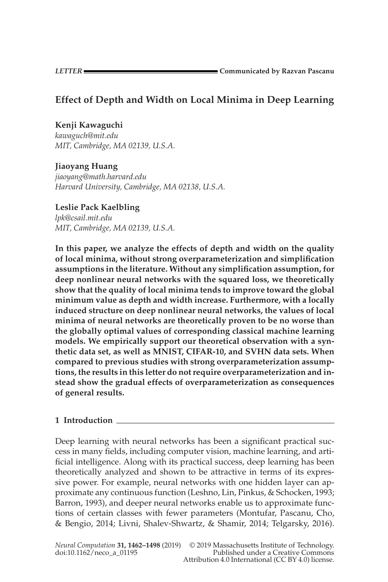## **Effect of Depth and Width on Local Minima in Deep Learning**

## **Kenji Kawaguchi**

*kawaguch@mit.edu MIT, Cambridge, MA 02139, U.S.A.*

### **Jiaoyang Huang**

*jiaoyang@math.harvard.edu Harvard University, Cambridge, MA 02138, U.S.A.*

# **Leslie Pack Kaelbling**

*lpk@csail.mit.edu MIT, Cambridge, MA 02139, U.S.A.*

**In this paper, we analyze the effects of depth and width on the quality of local minima, without strong overparameterization and simplification assumptions in the literature. Without any simplification assumption, for deep nonlinear neural networks with the squared loss, we theoretically show that the quality of local minima tends to improve toward the global minimum value as depth and width increase. Furthermore, with a locally induced structure on deep nonlinear neural networks, the values of local minima of neural networks are theoretically proven to be no worse than the globally optimal values of corresponding classical machine learning models. We empirically support our theoretical observation with a synthetic data set, as well as MNIST, CIFAR-10, and SVHN data sets. When compared to previous studies with strong overparameterization assumptions, the results in this letter do not require overparameterization and instead show the gradual effects of overparameterization as consequences of general results.**

## **1 Introduction**

Deep learning with neural networks has been a significant practical success in many fields, including computer vision, machine learning, and artificial intelligence. Along with its practical success, deep learning has been theoretically analyzed and shown to be attractive in terms of its expressive power. For example, neural networks with one hidden layer can approximate any continuous function (Leshno, Lin, Pinkus, & Schocken, [1993;](#page-35-0) Barron, [1993\)](#page-35-0), and deeper neural networks enable us to approximate functions of certain classes with fewer parameters (Montufar, Pascanu, Cho, & Bengio, [2014;](#page-36-0) Livni, Shalev-Shwartz, & Shamir, [2014;](#page-35-0) Telgarsky, [2016\)](#page-36-0).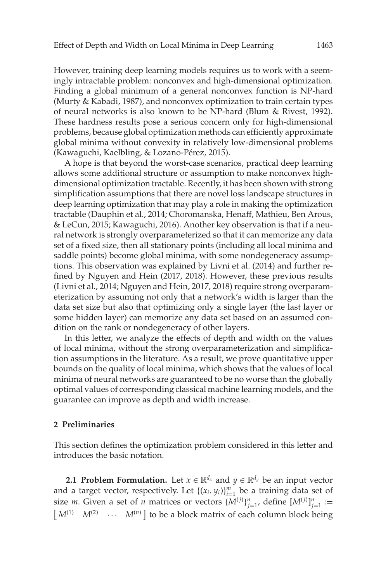However, training deep learning models requires us to work with a seemingly intractable problem: nonconvex and high-dimensional optimization. Finding a global minimum of a general nonconvex function is NP-hard (Murty & Kabadi, [1987\)](#page-36-0), and nonconvex optimization to train certain types of neural networks is also known to be NP-hard (Blum & Rivest, [1992\)](#page-35-0). These hardness results pose a serious concern only for high-dimensional problems, because global optimization methods can efficiently approximate global minima without convexity in relatively low-dimensional problems (Kawaguchi, Kaelbling, & Lozano-Pérez, [2015\)](#page-35-0).

A hope is that beyond the worst-case scenarios, practical deep learning allows some additional structure or assumption to make nonconvex highdimensional optimization tractable. Recently, it has been shown with strong simplification assumptions that there are novel loss landscape structures in deep learning optimization that may play a role in making the optimization tractable (Dauphin et al., [2014;](#page-35-0) Choromanska, Henaff, Mathieu, Ben Arous, & LeCun, [2015;](#page-35-0) Kawaguchi, [2016\)](#page-35-0). Another key observation is that if a neural network is strongly overparameterized so that it can memorize any data set of a fixed size, then all stationary points (including all local minima and saddle points) become global minima, with some nondegeneracy assumptions. This observation was explained by Livni et al. [\(2014\)](#page-35-0) and further refined by Nguyen and Hein (2017, 2018). However, these previous results (Livni et al., [2014;](#page-35-0) Nguyen and Hein, 2017, 2018) require strong overparameterization by assuming not only that a network's width is larger than the data set size but also that optimizing only a single layer (the last layer or some hidden layer) can memorize any data set based on an assumed condition on the rank or nondegeneracy of other layers.

In this letter, we analyze the effects of depth and width on the values of local minima, without the strong overparameterization and simplification assumptions in the literature. As a result, we prove quantitative upper bounds on the quality of local minima, which shows that the values of local minima of neural networks are guaranteed to be no worse than the globally optimal values of corresponding classical machine learning models, and the guarantee can improve as depth and width increase.

#### **2 Preliminaries**

This section defines the optimization problem considered in this letter and introduces the basic notation.

**2.1 Problem Formulation.** Let  $x \in \mathbb{R}^{d_x}$  and  $y \in \mathbb{R}^{d_y}$  be an input vector and a target vector, respectively. Let  $\{(x_i, y_i)\}_{i=1}^m$  be a training data set of size *m*. Given a set of *n* matrices or vectors  $\{M^{(j)}\}_{j=1}^n$ , define  $[M^{(j)}]_{j=1}^n :=$  $\left[ M^{(1)} \quad M^{(2)} \quad \cdots \quad M^{(n)} \right]$  to be a block matrix of each column block being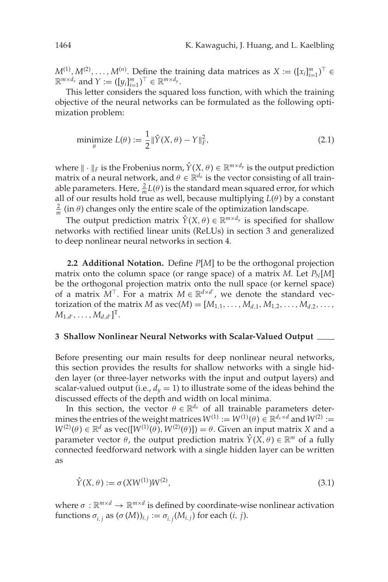<span id="page-2-0"></span> $M^{(1)}, M^{(2)}, \ldots, M^{(n)}$ . Define the training data matrices as  $X := (\llbracket x_i \rrbracket_{i=1}^m)^\top \in$  $\mathbb{R}^{m \times d_x}$  and  $Y := (\left[y_i\right]_{i=1}^m)^\top \in \mathbb{R}^{m \times d_y}$ .

This letter considers the squared loss function, with which the training objective of the neural networks can be formulated as the following optimization problem:

$$
\underset{\theta}{\text{minimize}} L(\theta) := \frac{1}{2} \|\hat{Y}(X,\theta) - Y\|_{F}^{2},\tag{2.1}
$$

where  $\|\cdot\|_F$  is the Frobenius norm,  $\hat{Y}(X, \theta) \in \mathbb{R}^{m \times d_y}$  is the output prediction matrix of a neural network, and  $\theta \in \mathbb{R}^{d_{\theta}}$  is the vector consisting of all trainable parameters. Here,  $\frac{2}{m}L(\theta)$  is the standard mean squared error, for which all of our results hold true as well, because multiplying  $L(\theta)$  by a constant  $\frac{2}{m}$  (in  $\theta$ ) changes only the entire scale of the optimization landscape.

The output prediction matrix  $\hat{Y}(X, \theta) \in \mathbb{R}^{m \times d_y}$  is specified for shallow networks with rectified linear units (ReLUs) in section 3 and generalized to deep nonlinear neural networks in section [4.](#page-6-0)

**2.2 Additional Notation.** Define *P*[*M*] to be the orthogonal projection matrix onto the column space (or range space) of a matrix *M*. Let  $P_N[M]$ be the orthogonal projection matrix onto the null space (or kernel space) of a matrix  $M^{\top}$ . For a matrix  $M \in \mathbb{R}^{d \times d'}$ , we denote the standard vectorization of the matrix *M* as  $\text{vec}(M) = [M_{1,1}, \ldots, M_{d,1}, M_{1,2}, \ldots, M_{d,2}, \ldots, M_{d,d}]$  $M_{1,d'}, \ldots, M_{d,d'}]^{\mathrm{T}}.$ 

#### **3 Shallow Nonlinear Neural Networks with Scalar-Valued Output**

Before presenting our main results for deep nonlinear neural networks, this section provides the results for shallow networks with a single hidden layer (or three-layer networks with the input and output layers) and scalar-valued output (i.e.,  $d_y = 1$ ) to illustrate some of the ideas behind the discussed effects of the depth and width on local minima.

In this section, the vector  $\theta \in \mathbb{R}^{d_{\theta}}$  of all trainable parameters determines the entries of the weight matrices  $W^{(1)} := W^{(1)}(\theta) \in \mathbb{R}^{d_x \times d}$  and  $W^{(2)} :=$  $W^{(2)}(\theta) \in \mathbb{R}^d$  as vec( $[W^{(1)}(\theta), W^{(2)}(\theta)]$ ) =  $\theta$ . Given an input matrix *X* and a parameter vector  $\theta$ , the output prediction matrix  $\hat{Y}(X, \theta) \in \mathbb{R}^m$  of a fully connected feedforward network with a single hidden layer can be written as

$$
\hat{Y}(X,\theta) := \sigma(XW^{(1)})W^{(2)},\tag{3.1}
$$

where  $\sigma : \mathbb{R}^{m \times d} \to \mathbb{R}^{m \times d}$  is defined by coordinate-wise nonlinear activation functions  $\sigma_{i,j}$  as  $(\sigma(M))_{i,j} := \sigma_{i,j}(M_{i,j})$  for each  $(i, j)$ .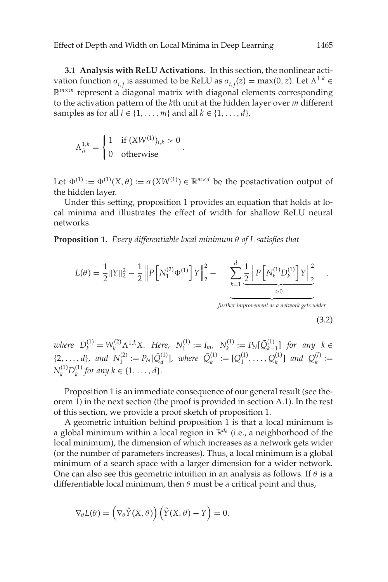<span id="page-3-0"></span>**3.1 Analysis with ReLU Activations.** In this section, the nonlinear activation function  $\sigma_{i,j}$  is assumed to be ReLU as  $\sigma_{i,j}(z) = \max(0,z)$ . Let  $\Lambda^{1,k} \in$  $\mathbb{R}^{m \times m}$  represent a diagonal matrix with diagonal elements corresponding to the activation pattern of the *k*th unit at the hidden layer over *m* different samples as for all  $i \in \{1, \ldots, m\}$  and all  $k \in \{1, \ldots, d\}$ ,

$$
\Lambda_{ii}^{1,k} = \begin{cases} 1 & \text{if } (XW^{(1)})_{i,k} > 0 \\ 0 & \text{otherwise} \end{cases}.
$$

Let  $\Phi^{(1)} := \Phi^{(1)}(X, \theta) := \sigma(XW^{(1)}) \in \mathbb{R}^{m \times d}$  be the postactivation output of the hidden layer.

Under this setting, proposition 1 provides an equation that holds at local minima and illustrates the effect of width for shallow ReLU neural networks.

**Proposition 1.** *Every differentiable local minimum* θ *of L satisfies that*

$$
L(\theta) = \frac{1}{2} ||Y||_2^2 - \frac{1}{2} ||P[N_1^{(2)}\Phi^{(1)}]Y||_2^2 - \sum_{k=1}^d \underbrace{\frac{1}{2} ||P[N_k^{(1)}D_k^{(1)}]Y||_2^2}_{\geq 0}
$$
,  
\n <sub>further improvement as a network gets wider</sub> (3.2)

 $w$ *k*  $D_k^{(1)} = W_k^{(2)} \Lambda^{1,k} X$ . Here,  $N_1^{(1)} := I_m$ ,  $N_k^{(1)} := P_N[\bar{Q}_{k-1}^{(1)}]$  for any  $k \in I_m$  $\{2, \ldots, d\}$ , and  $N_1^{(2)} := P_N[\bar{Q}_d^{(1)}]$ , where  $\bar{Q}_k^{(1)} := [Q_1^{(1)}, \ldots, Q_k^{(1)}]$  and  $Q_k^{(l)} :=$  $N_k^{(1)}D_k^{(1)}$  for any  $k \in \{1, \ldots, d\}.$ 

Proposition 1 is an immediate consequence of our general result (see theorem 1) in the next section (the proof is provided in section A.1). In the rest of this section, we provide a proof sketch of proposition 1.

A geometric intuition behind proposition 1 is that a local minimum is a global minimum within a local region in  $\mathbb{R}^{d_{\theta}}$  (i.e., a neighborhood of the local minimum), the dimension of which increases as a network gets wider (or the number of parameters increases). Thus, a local minimum is a global minimum of a search space with a larger dimension for a wider network. One can also see this geometric intuition in an analysis as follows. If  $\theta$  is a differentiable local minimum, then  $\theta$  must be a critical point and thus,

$$
\nabla_{\theta} L(\theta) = (\nabla_{\theta} \hat{Y}(X, \theta)) (\hat{Y}(X, \theta) - Y) = 0.
$$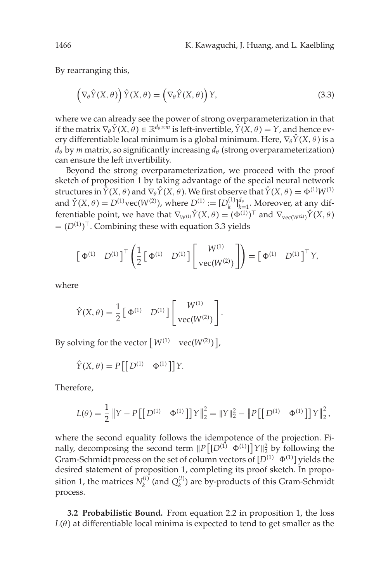<span id="page-4-0"></span>By rearranging this,

$$
\left(\nabla_{\theta}\hat{Y}(X,\theta)\right)\hat{Y}(X,\theta) = \left(\nabla_{\theta}\hat{Y}(X,\theta)\right)Y,\tag{3.3}
$$

where we can already see the power of strong overparameterization in that if the matrix  $\nabla_{\theta} \hat{Y}(X, \theta) \in \mathbb{R}^{d_{\theta} \times m}$  is left-invertible,  $\hat{Y}(X, \theta) = Y$ , and hence every differentiable local minimum is a global minimum. Here,  $\nabla_{\theta} \hat{Y}(X, \theta)$  is a  $d_{\theta}$  by *m* matrix, so significantly increasing  $d_{\theta}$  (strong overparameterization) can ensure the left invertibility.

Beyond the strong overparameterization, we proceed with the proof sketch of proposition 1 by taking advantage of the special neural network structures in  $\hat{Y}(X, \theta)$  and  $\nabla_{\theta} \hat{Y}(X, \theta)$ . We first observe that  $\hat{Y}(X, \theta) = \Phi^{(1)} W^{(1)}$ and  $\hat{Y}(X, \theta) = D^{(1)} \text{vec}(W^{(2)})$ , where  $D^{(1)} := [D_k^{(1)}]_{k=1}^{d_\theta}$ . Moreover, at any differentiable point, we have that  $\nabla_{W^{(1)}} \hat{Y}(X, \theta) = (\Phi^{(1)})^{\top}$  and  $\nabla_{vec(W^{(2)})} \hat{Y}(X, \theta)$  $= (D^{(1)})^{\top}$ . Combining these with equation 3.3 yields

$$
\begin{bmatrix} \Phi^{(1)} & D^{(1)} \end{bmatrix}^{\top} \begin{pmatrix} \frac{1}{2} \begin{bmatrix} \Phi^{(1)} & D^{(1)} \end{bmatrix} \begin{bmatrix} W^{(1)} \\ \text{vec}(W^{(2)}) \end{bmatrix} \end{bmatrix} = \begin{bmatrix} \Phi^{(1)} & D^{(1)} \end{bmatrix}^{\top} Y,
$$

.

where

$$
\hat{Y}(X, \theta) = \frac{1}{2} \begin{bmatrix} \Phi^{(1)} & D^{(1)} \end{bmatrix} \begin{bmatrix} W^{(1)} \\ \text{vec}(W^{(2)}) \end{bmatrix}
$$

By solving for the vector  $\left[W^{(1)}\quad \text{vec}(W^{(2)})\right]$ ,

$$
\hat{Y}(X,\theta) = P\left[\left[D^{(1)} \quad \Phi^{(1)}\right]\right]Y.
$$

Therefore,

$$
L(\theta) = \frac{1}{2} ||Y - P[[D^{(1)} \quad \Phi^{(1)}]]Y||_2^2 = ||Y||_2^2 - ||P[[D^{(1)} \quad \Phi^{(1)}]]Y||_2^2,
$$

where the second equality follows the idempotence of the projection. Finally, decomposing the second term  $||P[[D^{(1)} \Phi^{(1)}]]| \Upsilon||_2^2$  by following the Gram-Schmidt process on the set of column vectors of  $[D^{(1)} \Phi^{(1)}]$  yields the desired statement of proposition 1, completing its proof sketch. In proposition 1, the matrices  $N_k^{(l)}$  (and  $Q_k^{(l)}$ ) are by-products of this Gram-Schmidt process.

**3.2 Probabilistic Bound.** From equation 2.2 in proposition 1, the loss  $L(\theta)$  at differentiable local minima is expected to tend to get smaller as the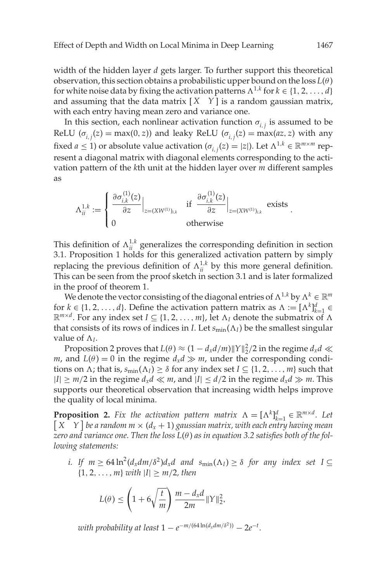width of the hidden layer *d* gets larger. To further support this theoretical observation, this section obtains a probabilistic upper bound on the  $\cos L(\theta)$ for white noise data by fixing the activation patterns  $\Lambda^{1,k}$  for  $k \in \{1, 2, ..., d\}$ and assuming that the data matrix  $[X \ Y]$  is a random gaussian matrix, with each entry having mean zero and variance one.

In this section, each nonlinear activation function  $\sigma_{i,j}$  is assumed to be ReLU ( $\sigma_{i,j}(z) = \max(0, z)$ ) and leaky ReLU ( $\sigma_{i,j}(z) = \max(az, z)$  with any fixed  $a \le 1$ ) or absolute value activation  $(\sigma_{i,j}(z) = |z|)$ . Let  $\Lambda^{1,k} \in \mathbb{R}^{m \times m}$  represent a diagonal matrix with diagonal elements corresponding to the activation pattern of the *k*th unit at the hidden layer over *m* different samples as

$$
\Lambda_{ii}^{1,k} := \begin{cases} \left. \frac{\partial \sigma_{i,k}^{(1)}(z)}{\partial z} \right|_{z=(XW^{(1)})_{i,k}} & \text{if } \left. \frac{\partial \sigma_{i,k}^{(1)}(z)}{\partial z} \right|_{z=(XW^{(1)})_{i,k}} \text{ exists} \\ 0 & \text{otherwise} \end{cases}.
$$

This definition of  $\Lambda_{ii}^{1,k}$  generalizes the corresponding definition in section [3.1.](#page-3-0) Proposition 1 holds for this generalized activation pattern by simply replacing the previous definition of  $\Lambda_{ii}^{1,k}$  by this more general definition. This can be seen from the proof sketch in section [3.1](#page-3-0) and is later formalized in the proof of theorem 1.

We denote the vector consisting of the diagonal entries of  $\Lambda^{1,k}$  by  $\Lambda^k \in \mathbb{R}^m$ for  $k \in \{1, 2, ..., d\}$ . Define the activation pattern matrix as  $\Lambda := [\Lambda^k]_{k=1}^d \in$  $\mathbb{R}^{m \times d}$ . For any index set *I* ⊆ {1, 2, ..., *m*}, let  $\Lambda$ <sub>*I*</sub> denote the submatrix of  $\Lambda$ that consists of its rows of indices in *I*. Let  $s_{min}(\Lambda_I)$  be the smallest singular value of  $\Lambda_l$ .

Proposition 2 proves that  $L(\theta) \approx (1 - d_x d/m) \|Y\|_2^2/2$  in the regime  $d_x d \ll$ *m*, and  $L(\theta) = 0$  in the regime  $d_x d \gg m$ , under the corresponding conditions on  $\Lambda$ ; that is,  $s_{min}(\Lambda_I) \geq \delta$  for any index set  $I \subseteq \{1, 2, ..., m\}$  such that  $|I|$  ≥ *m*/2 in the regime *d<sub>x</sub>d* ≪ *m*, and  $|I|$  ≤ *d*/2 in the regime *d<sub>x</sub>d* ≫ *m*. This supports our theoretical observation that increasing width helps improve the quality of local minima.

**Proposition 2.** *Fix the activation pattern matrix*  $\Lambda = [\Lambda^k]_{k=1}^d \in \mathbb{R}^{m \times d}$ . Let  $\begin{bmatrix} X & Y \end{bmatrix}$  be a random  $m \times (d_x + 1)$  gaussian matrix, with each entry having mean *zero and variance one. Then the loss L*(θ ) *as in equation [3.2](#page-3-0) satisfies both of the following statements:*

*i.* If  $m \geq 64 \ln^2(d_x dm/\delta^2) d_x d$  and  $s_{\min}(\Lambda_I) \geq \delta$  for any index set  $I \subseteq$  ${1, 2, ..., m}$  *with*  $|I| \ge m/2$ *, then* 

$$
L(\theta) \le \left(1 + 6\sqrt{\frac{t}{m}}\right) \frac{m - d_x d}{2m} ||Y||_2^2,
$$

*with probability at least*  $1 - e^{-m/(64 \ln(d_x dm/\delta^2))} - 2e^{-t}$ .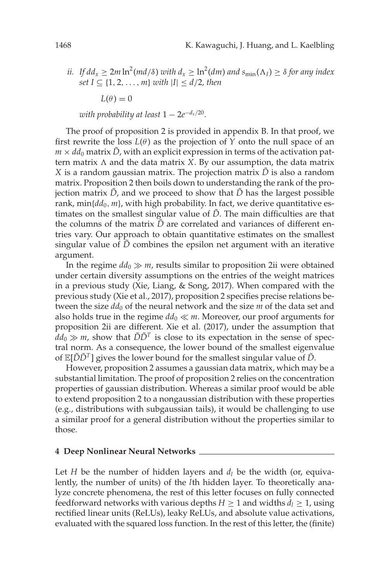<span id="page-6-0"></span>*ii.* If  $dd_x \geq 2m \ln^2 (md/ \delta)$  with  $d_x \geq \ln^2 (dm)$  and  $s_{\min}(\Lambda_I) \geq \delta$  for any index *set I* ⊆ {1, 2, ..., *m*} *with*  $|I|$  ≤ *d*/2*, then* 

 $L(\theta) = 0$ 

*with probability at least*  $1 - 2e^{-d_x/20}$ .

The proof of proposition 2 is provided in appendix B. In that proof, we first rewrite the loss  $L(\theta)$  as the projection of *Y* onto the null space of an  $m \times dd_0$  matrix  $\ddot{D}$ , with an explicit expression in terms of the activation pattern matrix  $\Lambda$  and the data matrix  $X$ . By our assumption, the data matrix *X* is a random gaussian matrix. The projection matrix  $\tilde{D}$  is also a random matrix. Proposition 2 then boils down to understanding the rank of the projection matrix  $\tilde{D}$ , and we proceed to show that  $\tilde{D}$  has the largest possible rank,  $min{dd_0, m}$ , with high probability. In fact, we derive quantitative estimates on the smallest singular value of  $\tilde{D}$ . The main difficulties are that the columns of the matrix  $\tilde{D}$  are correlated and variances of different entries vary. Our approach to obtain quantitative estimates on the smallest singular value of  $\bar{D}$  combines the epsilon net argument with an iterative argument.

In the regime  $dd_0 \gg m$ , results similar to proposition 2ii were obtained under certain diversity assumptions on the entries of the weight matrices in a previous study (Xie, Liang, & Song, [2017\)](#page-36-0). When compared with the previous study (Xie et al., [2017\)](#page-36-0), proposition 2 specifies precise relations between the size  $dd_0$  of the neural network and the size  $m$  of the data set and also holds true in the regime  $dd_0 \ll m$ . Moreover, our proof arguments for proposition 2ii are different. Xie et al. (2017), under the assumption that  $dd_0 \gg m$ , show that  $\tilde{D}\tilde{D}^T$  is close to its expectation in the sense of spectral norm. As a consequence, the lower bound of the smallest eigenvalue of  $\mathbb{E}[\tilde{D}\tilde{D}^T]$  gives the lower bound for the smallest singular value of  $\tilde{D}$ .

However, proposition 2 assumes a gaussian data matrix, which may be a substantial limitation. The proof of proposition 2 relies on the concentration properties of gaussian distribution. Whereas a similar proof would be able to extend proposition 2 to a nongaussian distribution with these properties (e.g., distributions with subgaussian tails), it would be challenging to use a similar proof for a general distribution without the properties similar to those.

#### **4 Deep Nonlinear Neural Networks**

Let *H* be the number of hidden layers and  $d_l$  be the width (or, equivalently, the number of units) of the *l*th hidden layer. To theoretically analyze concrete phenomena, the rest of this letter focuses on fully connected feedforward networks with various depths  $H \geq 1$  and widths  $d_l \geq 1$ , using rectified linear units (ReLUs), leaky ReLUs, and absolute value activations, evaluated with the squared loss function. In the rest of this letter, the (finite)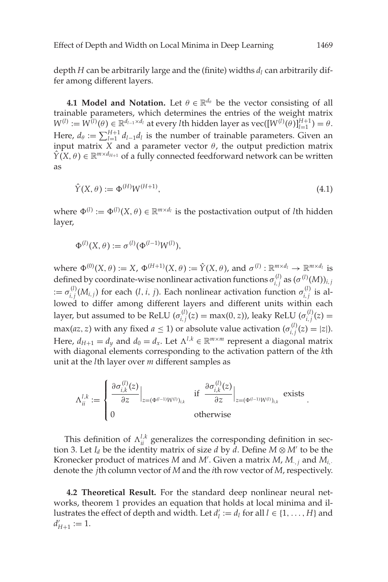<span id="page-7-0"></span>depth *H* can be arbitrarily large and the (finite) widths *dl* can arbitrarily differ among different layers.

**4.1 Model and Notation.** Let  $\theta \in \mathbb{R}^{d_{\theta}}$  be the vector consisting of all trainable parameters, which determines the entries of the weight matrix  $W^{(l)} := W^{(l)}(\theta) \in \mathbb{R}^{d_{l-1} \times d_l}$  at every *l*th hidden layer as  $\text{vec}([W^{(l)}(\theta)]_{l=1}^{H+1}) = \theta$ . Here,  $d_{\theta} := \sum_{l=1}^{H+1} d_{l-1} d_l$  is the number of trainable parameters. Given an input matrix *X* and a parameter vector  $\theta$ , the output prediction matrix  $\hat{Y}(X, \theta) \in \mathbb{R}^{m \times d_{H+1}}$  of a fully connected feedforward network can be written as

$$
\hat{Y}(X,\theta) := \Phi^{(H)} W^{(H+1)},\tag{4.1}
$$

where  $\Phi^{(l)} := \Phi^{(l)}(X, \theta) \in \mathbb{R}^{m \times d_l}$  is the postactivation output of *l*th hidden layer,

$$
\Phi^{(l)}(X,\theta) := \sigma^{(l)}(\Phi^{(l-1)}W^{(l)}),
$$

where  $\Phi^{(0)}(X, \theta) := X$ ,  $\Phi^{(H+1)}(X, \theta) := \hat{Y}(X, \theta)$ , and  $\sigma^{(l)} : \mathbb{R}^{m \times d_l} \to \mathbb{R}^{m \times d_l}$  is defined by coordinate-wise nonlinear activation functions  $\sigma_{i,j}^{(l)}$  as  $(\sigma^{(l)}(M))_{i,j}$  $\sigma_{i,j}^{(l)}(M_{i,j})$  for each  $(l, i, j)$ . Each nonlinear activation function  $\sigma_{i,j}^{(l)}$  is allowed to differ among different layers and different units within each layer, but assumed to be ReLU ( $\sigma_{i,j}^{(l)}(z) = \max(0, z)$ ), leaky ReLU ( $\sigma_{i,j}^{(l)}(z) = \min(z)$  $\max(az, z)$  with any fixed  $a \le 1$ ) or absolute value activation  $(\sigma_{i,j}^{(l)}(z) = |z|)$ . Here,  $d_{H+1} = d_v$  and  $d_0 = d_x$ . Let  $\Lambda^{l,k} \in \mathbb{R}^{m \times m}$  represent a diagonal matrix with diagonal elements corresponding to the activation pattern of the *k*th unit at the *l*th layer over *m* different samples as

$$
\Lambda_{ii}^{l,k} := \begin{cases} \left. \frac{\partial \sigma_{i,k}^{(l)}(z)}{\partial z} \right|_{z = (\Phi^{(l-1)} W^{(l)})_{i,k}} & \text{if } \left. \frac{\partial \sigma_{i,k}^{(l)}(z)}{\partial z} \right|_{z = (\Phi^{(l-1)} W^{(l)})_{i,k}} \text{ exists} \\ 0 & \text{otherwise} \end{cases}
$$

This definition of  $\Lambda_{ii}^{l,k}$  generalizes the corresponding definition in sec-tion [3.](#page-2-0) Let  $I_d$  be the identity matrix of size *d* by *d*. Define  $M \otimes M'$  to be the Kronecker product of matrices *M* and *M* . Given a matrix *M*, *M*·,*<sup>j</sup>* and *Mi*,· denote the *j*th column vector of *M* and the *i*th row vector of *M*, respectively.

**4.2 Theoretical Result.** For the standard deep nonlinear neural networks, theorem 1 provides an equation that holds at local minima and illustrates the effect of depth and width. Let  $d'_{l} := d_{l}$  for all  $l \in \{1, ..., H\}$  and  $d'_{H+1} := 1.$ 

.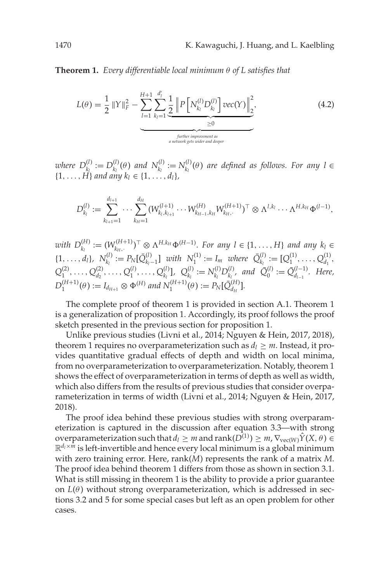**Theorem 1.** *Every differentiable local minimum* θ *of L satisfies that*

$$
L(\theta) = \frac{1}{2} ||Y||_F^2 - \sum_{l=1}^{H+1} \sum_{k_l=1}^{d'_l} \frac{1}{2} \left\| P\left[N_{k_l}^{(l)} D_{k_l}^{(l)}\right] \text{vec}(Y)\right\|_2^2, \newline\n\frac{\geq 0}{\text{inther improvement as}\n\text{inter over all degree.}} \tag{4.2}
$$

*where*  $D_{k_l}^{(l)} := D_{k_l}^{(l)}(\theta)$  and  $N_{k_l}^{(l)} := N_{k_l}^{(l)}(\theta)$  are defined as follows. For any  $l \in$  $\{1, \ldots, H\}$  and any  $k_l \in \{1, \ldots, d_l\}$ ,

$$
D_{k_l}^{(l)} := \sum_{k_{l+1}=1}^{d_{l+1}} \cdots \sum_{k_{H}=1}^{d_H} (W_{k_l, k_{l+1}}^{(l+1)} \cdots W_{k_{H-1}, k_H}^{(H)} W_{k_H, \cdot}^{(H+1)})^{\top} \otimes \Lambda^{l, k_l} \cdots \Lambda^{H, k_H} \Phi^{(l-1)},
$$

*with*  $D_{k_l}^{(H)} := (W_{k_{H_l}}^{(H+1)})^{\top} \otimes \Lambda^{H, k_H} \Phi^{(H-1)}$ *. For any l* ∈ {1, ..., *H*} *and any*  $k_l$  ∈  $\{1, \ldots, d_l\}, N_{k_l}^{(l)} := P_N[\bar{Q}_{k_l-1}^{(l)}]$  *with*  $N_1^{(1)} := I_m$  *where*  $\bar{Q}_{k_l}^{(l)} := [Q_1^{(1)}, \ldots, Q_{d_1}^{(1)},$  $Q_1^{(2)}, \ldots, Q_{d_2}^{(2)}, \ldots, Q_1^{(l)}, \ldots, Q_{k_l}^{(l)}], \ Q_{k_l}^{(l)} := N_{k_l}^{(l)} D_{k_l}^{(l)}, \text{ and } \bar{Q}_0^{(l)} := \bar{Q}_{d_{l-1}}^{(l-1)}.\text{ Here,}$  $D_1^{(H+1)}(\theta) := I_{d_{H+1}} \otimes \Phi^{(H)}$  and  $N_1^{(H+1)}(\theta) := P_N[\bar{Q}_{d_H}^{(H)}].$ 

The complete proof of theorem 1 is provided in section A.1. Theorem 1 is a generalization of proposition 1. Accordingly, its proof follows the proof sketch presented in the previous section for proposition 1.

Unlike previous studies (Livni et al., [2014;](#page-35-0) Nguyen & Hein, 2017, 2018), theorem 1 requires no overparameterization such as  $d_l \geq m$ . Instead, it provides quantitative gradual effects of depth and width on local minima, from no overparameterization to overparameterization. Notably, theorem 1 shows the effect of overparameterization in terms of depth as well as width, which also differs from the results of previous studies that consider overparameterization in terms of width (Livni et al., [2014;](#page-35-0) Nguyen & Hein, 2017, 2018).

The proof idea behind these previous studies with strong overparameterization is captured in the discussion after equation [3.3—](#page-4-0)with strong overparameterization such that  $d_l \geq m$  and rank( $D^{(1)}$ )  $\geq m$ ,  $\nabla_{\text{vec}(W)} \hat{Y}(X, \theta) \in$  $\mathbb{R}^{d_l \times m}$  is left-invertible and hence every local minimum is a global minimum with zero training error. Here, rank(*M*) represents the rank of a matrix *M*. The proof idea behind theorem 1 differs from those as shown in section [3.1.](#page-3-0) What is still missing in theorem 1 is the ability to provide a prior guarantee on  $L(\theta)$  without strong overparameterization, which is addressed in sections [3.2](#page-4-0) and 5 for some special cases but left as an open problem for other cases.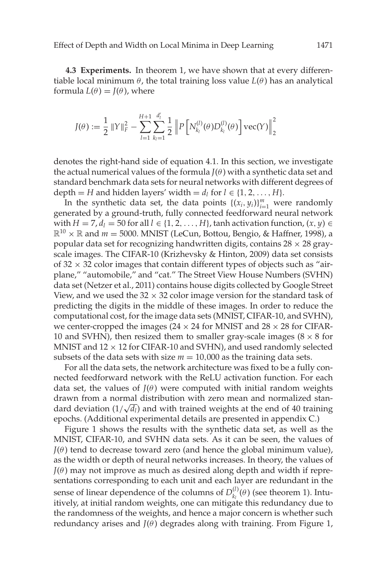<span id="page-9-0"></span>**4.3 Experiments.** In theorem 1, we have shown that at every differentiable local minimum  $\theta$ , the total training loss value  $L(\theta)$  has an analytical formula  $L(\theta) = J(\theta)$ , where

$$
J(\theta) := \frac{1}{2}\, \|Y\|_F^2 - \sum_{l=1}^{H+1} \sum_{k_l=1}^{d'_l} \frac{1}{2}\, \left\|P\left[N_{k_l}^{(l)}(\theta)D_{k_l}^{(l)}(\theta)\right]\text{vec}(Y)\right\|_2^2
$$

denotes the right-hand side of equation [4.1.](#page-7-0) In this section, we investigate the actual numerical values of the formula  $J(\theta)$  with a synthetic data set and standard benchmark data sets for neural networks with different degrees of depth = *H* and hidden layers' width =  $d_l$  for  $l \in \{1, 2, ..., H\}$ .

In the synthetic data set, the data points  $\{(x_i, y_i)\}_{i=1}^m$  were randomly generated by a ground-truth, fully connected feedforward neural network with  $H = 7$ ,  $d_l = 50$  for all  $l \in \{1, 2, ..., H\}$ , tanh activation function,  $(x, y) \in$  $\mathbb{R}^{10} \times \mathbb{R}$  and  $m = 5000$ . MNIST (LeCun, Bottou, Bengio, & Haffner, [1998\)](#page-35-0), a popular data set for recognizing handwritten digits, contains  $28 \times 28$  grayscale images. The CIFAR-10 (Krizhevsky & Hinton, [2009\)](#page-35-0) data set consists of  $32 \times 32$  color images that contain different types of objects such as "airplane," "automobile," and "cat." The Street View House Numbers (SVHN) data set (Netzer et al., [2011\)](#page-36-0) contains house digits collected by Google Street View, and we used the  $32 \times 32$  color image version for the standard task of predicting the digits in the middle of these images. In order to reduce the computational cost, for the image data sets (MNIST, CIFAR-10, and SVHN), we center-cropped the images ( $24 \times 24$  for MNIST and  $28 \times 28$  for CIFAR-10 and SVHN), then resized them to smaller gray-scale images ( $8 \times 8$  for MNIST and  $12 \times 12$  for CIFAR-10 and SVHN), and used randomly selected subsets of the data sets with size  $m = 10,000$  as the training data sets.

For all the data sets, the network architecture was fixed to be a fully connected feedforward network with the ReLU activation function. For each data set, the values of  $J(\theta)$  were computed with initial random weights drawn from a normal distribution with zero mean and normalized stan $d$  drawn from a normal distribution with zero mean and normalized standard deviation  $(1/\sqrt{d_l})$  and with trained weights at the end of 40 training epochs. (Additional experimental details are presented in appendix C.)

Figure [1](#page-10-0) shows the results with the synthetic data set, as well as the MNIST, CIFAR-10, and SVHN data sets. As it can be seen, the values of  $J(\theta)$  tend to decrease toward zero (and hence the global minimum value), as the width or depth of neural networks increases. In theory, the values of  $J(\theta)$  may not improve as much as desired along depth and width if representations corresponding to each unit and each layer are redundant in the sense of linear dependence of the columns of  $D_{k_l}^{(l)}(\theta)$  (see theorem 1). Intuitively, at initial random weights, one can mitigate this redundancy due to the randomness of the weights, and hence a major concern is whether such redundancy arises and  $J(\theta)$  degrades along with training. From Figure [1,](#page-10-0)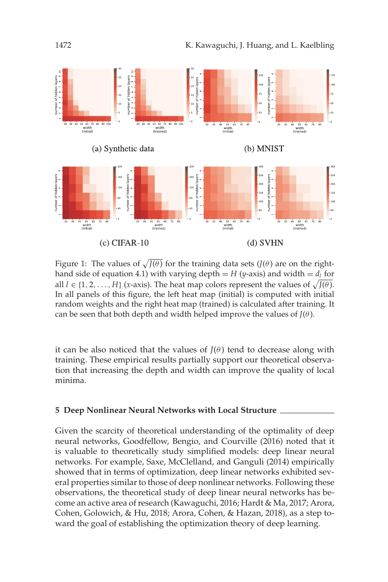<span id="page-10-0"></span>

Figure 1: The values of  $\sqrt{J(\theta)}$  for the training data sets  $(J(\theta))$  are on the right-hand side of equation [4.1\)](#page-7-0) with varying depth = *H* (*y*-axis) and width =  $d_l$  for all  $l \in \{1, 2, ..., H\}$  (*x*-axis). The heat map colors represent the values of  $\sqrt{J(\theta)}$ . In all panels of this figure, the left heat map (initial) is computed with initial random weights and the right heat map (trained) is calculated after training. It can be seen that both depth and width helped improve the values of  $J(\theta)$ .

it can be also noticed that the values of  $J(\theta)$  tend to decrease along with training. These empirical results partially support our theoretical observation that increasing the depth and width can improve the quality of local minima.

#### **5 Deep Nonlinear Neural Networks with Local Structure**

Given the scarcity of theoretical understanding of the optimality of deep neural networks, Goodfellow, Bengio, and Courville (2016) noted that it is valuable to theoretically study simplified models: deep linear neural networks. For example, Saxe, McClelland, and Ganguli (2014) empirically showed that in terms of optimization, deep linear networks exhibited several properties similar to those of deep nonlinear networks. Following these observations, the theoretical study of deep linear neural networks has become an active area of research (Kawaguchi, [2016;](#page-35-0) Hardt & Ma, [2017;](#page-35-0) Arora, Cohen, Golowich, & Hu, [2018;](#page-35-0) Arora, Cohen, & Hazan, [2018\)](#page-35-0), as a step toward the goal of establishing the optimization theory of deep learning.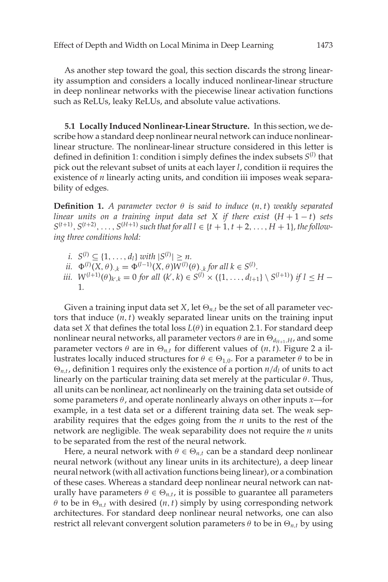As another step toward the goal, this section discards the strong linearity assumption and considers a locally induced nonlinear-linear structure in deep nonlinear networks with the piecewise linear activation functions such as ReLUs, leaky ReLUs, and absolute value activations.

**5.1 Locally Induced Nonlinear-Linear Structure.** In this section, we describe how a standard deep nonlinear neural network can induce nonlinearlinear structure. The nonlinear-linear structure considered in this letter is defined in definition 1: condition i simply defines the index subsets *S*(*l*) that pick out the relevant subset of units at each layer *l*, condition ii requires the existence of *n* linearly acting units, and condition iii imposes weak separability of edges.

**Definition 1.** *A parameter vector*  $\theta$  *is said to induce*  $(n, t)$  *weakly separated linear units on a training input data set X if there exist*  $(H + 1 - t)$  *sets*  $S^{(t+1)}$ ,  $S^{(t+2)}$ , ...,  $S^{(H+1)}$  *such that for all l* ∈ {*t* + 1, *t* + 2, ..., *H* + 1}*, the following three conditions hold:*

- *i.*  $S^{(l)} \subseteq \{1, ..., d_l\}$  *with*  $|S^{(l)}| \ge n$ .
- *ii.*  $\Phi^{(l)}(X, \theta)_{\cdot,k} = \Phi^{(l-1)}(X, \theta)W^{(l)}(\theta)_{\cdot,k}$  for all  $k \in S^{(l)}$ .
- *iii.*  $W^{(l+1)}(\theta)_{k',k} = 0$  for all  $(k',k) \in S^{(l)} \times (\{1,\ldots,d_{l+1}\} \setminus S^{(l+1)})$  if  $l \leq H -$ 1*.*

Given a training input data set *X*, let  $\Theta_{n,t}$  be the set of all parameter vectors that induce (*n*,*t*) weakly separated linear units on the training input data set *X* that defines the total loss  $L(\theta)$  in equation [2.1.](#page-2-0) For standard deep nonlinear neural networks, all parameter vectors  $\theta$  are in  $\Theta_{d_{H+1},H}$ , and some parameter vectors  $\theta$  are in  $\Theta_{n,t}$  for different values of  $(n, t)$ . Figure [2](#page-12-0) a illustrates locally induced structures for  $\theta \in \Theta_{1,0}$ . For a parameter  $\theta$  to be in  $\Theta_{n,t}$ , definition 1 requires only the existence of a portion  $n/d_l$  of units to act linearly on the particular training data set merely at the particular  $\theta$ . Thus, all units can be nonlinear, act nonlinearly on the training data set outside of some parameters  $\theta$ , and operate nonlinearly always on other inputs *x*—for example, in a test data set or a different training data set. The weak separability requires that the edges going from the *n* units to the rest of the network are negligible. The weak separability does not require the *n* units to be separated from the rest of the neural network.

Here, a neural network with  $\theta \in \Theta_{n,t}$  can be a standard deep nonlinear neural network (without any linear units in its architecture), a deep linear neural network (with all activation functions being linear), or a combination of these cases. Whereas a standard deep nonlinear neural network can naturally have parameters  $\theta \in \Theta_{n,t}$ , it is possible to guarantee all parameters  $\theta$  to be in  $\Theta_{n,t}$  with desired  $(n, t)$  simply by using corresponding network architectures. For standard deep nonlinear neural networks, one can also restrict all relevant convergent solution parameters  $\theta$  to be in  $\Theta_{n,t}$  by using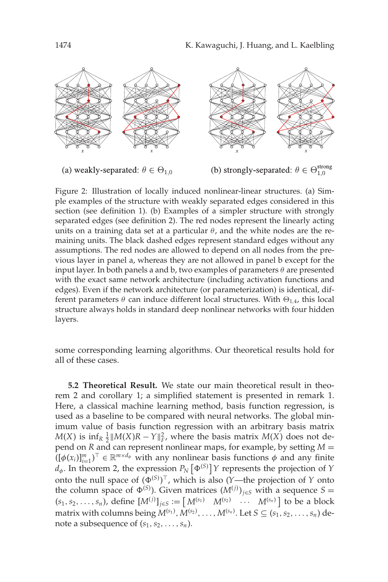<span id="page-12-0"></span>

(a) weakly-separated:  $\theta \in \Theta_{1,0}$ 

(b) strongly-separated:  $\theta \in \Theta_{1,0}^{\text{strong}}$ 

Figure 2: Illustration of locally induced nonlinear-linear structures. (a) Simple examples of the structure with weakly separated edges considered in this section (see definition 1). (b) Examples of a simpler structure with strongly separated edges (see definition 2). The red nodes represent the linearly acting units on a training data set at a particular  $\theta$ , and the white nodes are the remaining units. The black dashed edges represent standard edges without any assumptions. The red nodes are allowed to depend on all nodes from the previous layer in panel a, whereas they are not allowed in panel b except for the input layer. In both panels a and b, two examples of parameters  $\theta$  are presented with the exact same network architecture (including activation functions and edges). Even if the network architecture (or parameterization) is identical, different parameters  $\theta$  can induce different local structures. With  $\Theta_{1,4}$ , this local structure always holds in standard deep nonlinear networks with four hidden layers.

some corresponding learning algorithms. Our theoretical results hold for all of these cases.

**5.2 Theoretical Result.** We state our main theoretical result in theorem 2 and corollary 1; a simplified statement is presented in remark 1. Here, a classical machine learning method, basis function regression, is used as a baseline to be compared with neural networks. The global minimum value of basis function regression with an arbitrary basis matrix *M*(*X*) is  $\inf_R$   $\frac{1}{2}$  *M*(*X*)*R* − *Y*  $\|_F^2$ , where the basis matrix *M*(*X*) does not depend on *R* and can represent nonlinear maps, for example, by setting *M* =  $((\phi(x_i))_{i=1}^m)^\top \in \mathbb{R}^{m \times d_\phi}$  with any nonlinear basis functions  $\phi$  and any finite  $d_{\phi}$ . In theorem 2, the expression  $P_N\left[\Phi^{(S)}\right]$  *Y* represents the projection of *Y* onto the null space of  $(\Phi^{(S)})^{\top}$ , which is also (*Y*—the projection of *Y* onto the column space of  $\Phi^{(S)}$ ). Given matrices  $(M^{(j)})_{j \in S}$  with a sequence  $S =$  $(s_1, s_2, \ldots, s_n)$ , define  $[M^{(j)}]_{j \in S} := \begin{bmatrix} M^{(s_1)} & M^{(s_2)} & \cdots & M^{(s_n)} \end{bmatrix}$  to be a block matrix with columns being  $M^{(s_1)}, M^{(s_2)}, \ldots, M^{(s_n)}.$  Let  $S \subseteq (s_1, s_2, \ldots, s_n)$  denote a subsequence of  $(s_1, s_2, \ldots, s_n)$ .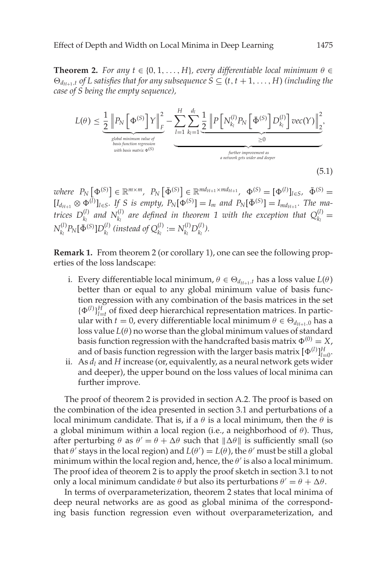<span id="page-13-0"></span>**Theorem 2.** *For any*  $t \in \{0, 1, \ldots, H\}$ *, every differentiable local minimum*  $\theta \in$  $\Theta_{d_{H+1},t}$  *of L* satisfies that for any subsequence  $S \subseteq (t, t+1, \ldots, H)$  *(including the case of S being the empty sequence),*

$$
L(\theta) \leq \underbrace{\frac{1}{2} \left\| P_N \left[ \Phi^{(S)} \right] Y \right\|_F^2}_{\substack{\text{global minimum value of} \\ \text{basic function regression} \\ \text{with basis matrix } \Phi^{(S)} }} - \underbrace{\sum_{l=1}^H \sum_{k_l=1}^{d_l} \underbrace{\frac{1}{2} \left\| P \left[ N_{k_l}^{(l)} P_N \left[ \Phi^{(S)} \right] D_{k_l}^{(l)} \right] \text{vec}(Y) \right\|_2^2}_{\geq 0}}_{\text{inductor } \text{target } \text{and } \text{accept}}.
$$
\n(5.1)

 $w$ *here*  $P_N\left[\Phi^{(S)}\right] \in \mathbb{R}^{m \times m}$ ,  $P_N\left[\bar{\Phi}^{(S)}\right] \in \mathbb{R}^{md_{H+1} \times md_{H+1}}$ ,  $\Phi^{(S)} = [\Phi^{(l)}]_{l \in S}$ ,  $\bar{\Phi}^{(S)} =$  $[I_{d_{H+1}} \otimes \Phi^{(l)}]_{l \in S}$ . If S is empty,  $P_N[\Phi^{(S)}] = I_m$  and  $P_N[\Phi^{(S)}] = I_{md_{H+1}}$ . The ma*trices*  $D_{k_l}^{(l)}$  and  $N_{k_l}^{(l)}$  are defined in theorem 1 with the exception that  $Q_{k_l}^{(l)} =$  $N_{k_l}^{(l)}P_N[\bar{\Phi}^{(S)}]D_{k_l}^{(l)}$  (instead of  $Q_{k_l}^{(l)} := N_{k_l}^{(l)}D_{k_l}^{(l)}$ ).

**Remark 1.** From theorem 2 (or corollary 1), one can see the following properties of the loss landscape:

- i. Every differentiable local minimum,  $\theta \in \Theta_{d_{H+1},t}$  has a loss value  $L(\theta)$ better than or equal to any global minimum value of basis function regression with any combination of the basis matrices in the set  $\{\Phi^{(l)}\}_{l=t}^H$  of fixed deep hierarchical representation matrices. In particular with  $t = 0$ , every differentiable local minimum  $\theta \in \Theta_{d_{H+1},0}$  has a loss value  $L(\theta)$  no worse than the global minimum values of standard basis function regression with the handcrafted basis matrix  $\Phi^{(0)} = X$ , and of basis function regression with the larger basis matrix  $[\Phi^{(l)}]_{l=0}^H$ .
- ii. As *dl* and *H* increase (or, equivalently, as a neural network gets wider and deeper), the upper bound on the loss values of local minima can further improve.

The proof of theorem 2 is provided in section A.2. The proof is based on the combination of the idea presented in section [3.1](#page-3-0) and perturbations of a local minimum candidate. That is, if a  $\theta$  is a local minimum, then the  $\theta$  is a global minimum within a local region (i.e., a neighborhood of  $\theta$ ). Thus, after perturbing  $\theta$  as  $\theta' = \theta + \Delta\theta$  such that  $\|\Delta\theta\|$  is sufficiently small (so that  $\theta$ <sup>*'*</sup> stays in the local region) and  $L(\theta') = L(\theta)$ , the  $\theta'$  must be still a global minimum within the local region and, hence, the  $\theta'$  is also a local minimum. The proof idea of theorem 2 is to apply the proof sketch in section [3.1](#page-3-0) to not only a local minimum candidate  $\theta$  but also its perturbations  $\theta' = \theta + \Delta\theta$ .

In terms of overparameterization, theorem 2 states that local minima of deep neural networks are as good as global minima of the corresponding basis function regression even without overparameterization, and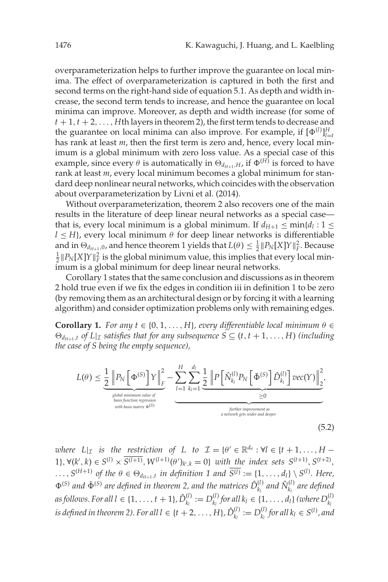overparameterization helps to further improve the guarantee on local minima. The effect of overparameterization is captured in both the first and second terms on the right-hand side of equation [5.1.](#page-13-0) As depth and width increase, the second term tends to increase, and hence the guarantee on local minima can improve. Moreover, as depth and width increase (for some of  $t + 1$ ,  $t + 2$ , ..., *H*th layers in theorem 2), the first term tends to decrease and the guarantee on local minima can also improve. For example, if  $[\Phi^{(l)}]_{l=t}^H$ has rank at least *m*, then the first term is zero and, hence, every local minimum is a global minimum with zero loss value. As a special case of this example, since every  $\theta$  is automatically in  $\Theta_{d_{H+1},H}$  if  $\Phi^{(H)}$  is forced to have rank at least *m*, every local minimum becomes a global minimum for standard deep nonlinear neural networks, which coincides with the observation about overparameterization by Livni et al. [\(2014\)](#page-35-0).

Without overparameterization, theorem 2 also recovers one of the main results in the literature of deep linear neural networks as a special case that is, every local minimum is a global minimum. If  $d_{H+1} \le \min\{d_l : 1 \le$  $l \leq H$ , every local minimum  $\theta$  for deep linear networks is differentiable and in  $\Theta_{d_{H+1},0}$ , and hence theorem 1 yields that  $L(\theta) \leq \frac{1}{2} ||P_N[X]Y||_F^2$ . Because  $\frac{1}{2}$   $\|P_N[X]Y\|_F^2$  is the global minimum value, this implies that every local minimum is a global minimum for deep linear neural networks.

Corollary 1 states that the same conclusion and discussions as in theorem 2 hold true even if we fix the edges in condition iii in definition 1 to be zero (by removing them as an architectural design or by forcing it with a learning algorithm) and consider optimization problems only with remaining edges.

**Corollary 1.** *For any*  $t \in \{0, 1, \ldots, H\}$ *, every differentiable local minimum*  $\theta \in$  $\Theta_{d_{H+1},t}$  *of*  $L|_{\mathcal{I}}$  *satisfies that for any subsequence*  $S \subseteq (t,t+1,\ldots,H)$  *(including the case of S being the empty sequence),*

$$
L(\theta) \leq \underbrace{\frac{1}{2} \left\| P_N \left[ \Phi^{(S)} \right] Y \right\|_F^2}_{\text{global minimum value of} \atop \text{with basis matrix } \Phi^{(S)}} - \underbrace{\sum_{l=1}^H \sum_{k_l=1}^{d_l} \underbrace{\frac{1}{2} \left\| P \left[ \hat{N}_{k_l}^{(l)} P_N \left[ \bar{\Phi}^{(S)} \right] \hat{D}_{k_l}^{(l)} \right] \text{vec}(Y) \right\|_2^2}_{\text{partive inprovement as}}}_{\text{an network gets wider and deeper}},
$$
\n(5.2)

*where*  $L|_{\mathcal{I}}$  *is the restriction of L to*  $\mathcal{I} = {\theta' \in \mathbb{R}^{d_{\theta}}}$  :  $\forall l \in {\theta + 1, ..., H - \theta}$ 1},  $\forall (k', k) \in S^{(l)} \times \overline{S^{(l+1)}}, W^{(l+1)}(\theta')_{k',k} = 0$ } *with the index sets*  $S^{(t+1)}, S^{(t+2)}$ ,  $\dots$ ,  $S^{(H+1)}$  *of the*  $\theta \in \Theta_{d_{H+1},t}$  *in definition* 1 and  $\overline{S^{(l)}} := \{1, \dots, d_l\} \setminus S^{(l)}$ . Here,  $(\Phi^{(S)}$  and  $\bar{\Phi}^{(S)}$  are defined in theorem 2, and the matrices  $\hat{D}_{k_l}^{(l)}$  and  $\hat{N}_{k_l}^{(l)}$  are defined *as follows. For all l* ∈ {1, ..., *t* + 1},  $\hat{D}_{k_l}^{(l)} := D_{k_l}^{(l)}$  *for all*  $k_l$  ∈ {1, ..., *d*<sub>*l*</sub>} (where  $D_{k_l}^{(l)}$ *is defined in theorem 2). For all*  $l \in \{t + 2, \ldots, H\}$ *,*  $\hat{D}_{k_l}^{(l)} := D_{k_l}^{(l)}$  *for all*  $k_l \in S^{(l)}$ *, and*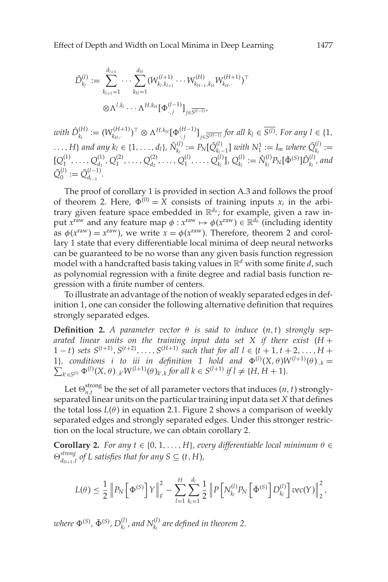$$
\hat{D}_{k_l}^{(l)} := \sum_{k_{l+1}=1}^{d_{l+1}} \cdots \sum_{k_{H}=1}^{d_H} (W_{k_l, k_{l+1}}^{(l+1)} \cdots W_{k_{H-1}, k_H}^{(H)} W_{k_{H},\cdot}^{(H+1)})^{\top}
$$

$$
\otimes \Lambda^{l, k_l} \cdots \Lambda^{H, k_H} [\Phi_{\cdot,j}^{(l-1)}]_{j \in \overline{S^{(l-1)}}},
$$

 $with\ \hat{D}_{k_l}^{(H)} := (W_{k_{H},.}^{(H+1)})^{\top} \otimes \Lambda^{H, k_H} [\Phi_{.,j}^{(H-1)}]_{j \in \overline{S^{(H-1)}}}$  for all  $k_l \in \overline{S^{(l)}}$ *. For any l*  $\in \{1, \}$  $\ldots$ , *H*} and any  $k_l \in \{1, \ldots, d_l\}$ ,  $\hat{N}_{k_l}^{(l)} := P_N[\bar{Q}_{k_l-1}^{(l)}]$  with  $N_1^1 := I_m$  where  $\bar{Q}_{k_l}^{(l)} :=$  $[Q_1^{(1)}, \ldots, Q_{d_1}^{(1)}, Q_1^{(2)}, \ldots, Q_{d_2}^{(2)}, \ldots, Q_1^{(l)}, \ldots, Q_{k_l}^{(l)}]$ ,  $Q_{k_l}^{(l)} := \hat{N}_{k_l}^{(l)} P_N[\bar{\Phi}^{(S)}] \hat{D}_{k_l}^{(l)}$ , and  $\bar{Q}_0^{(l)} := \bar{Q}_{d_{l-1}}^{(l-1)}$ .

The proof of corollary 1 is provided in section A.3 and follows the proof of theorem 2. Here,  $\Phi^{(0)} = X$  consists of training inputs  $x_i$  in the arbitrary given feature space embedded in  $\mathbb{R}^{d_0}$ ; for example, given a raw input  $x^{\text{raw}}$  and any feature map  $\phi : x^{\text{raw}} \mapsto \phi(x^{\text{raw}}) \in \mathbb{R}^{d_0}$  (including identity as  $\phi(x^{\text{raw}}) = x^{\text{raw}}$ , we write  $x = \phi(x^{\text{raw}})$ . Therefore, theorem 2 and corollary 1 state that every differentiable local minima of deep neural networks can be guaranteed to be no worse than any given basis function regression model with a handcrafted basis taking values in R*<sup>d</sup>* with some finite *d*, such as polynomial regression with a finite degree and radial basis function regression with a finite number of centers.

To illustrate an advantage of the notion of weakly separated edges in definition 1, one can consider the following alternative definition that requires strongly separated edges.

**Definition 2.** *A parameter vector*  $θ$  *is said to induce*  $(n, t)$  *strongly separated linear units on the training input data set X if there exist* (*H* + 1 − *t*) *sets*  $S^{(t+1)}$ ,  $S^{(t+2)}$ ,...,  $S^{(H+1)}$  *such that for all l* ∈ {*t* + 1,*t* + 2,..., *H* + 1}, conditions i to iii in definition 1 hold and  $\Phi^{(l)}(X,\theta)W^{(l+1)}(\theta)_{\cdot,k} =$  $\sum_{k' \in S^{(l)}} \Phi^{(l)}(X, \theta)$ ,*kW*<sup>(*l*+1)</sup>( $\theta$ )*k*<sup>*,k*</sup> *for all*  $k \in S^{(l+1)}$  *if*  $l \neq \{H, H + 1\}$ *.* 

Let  $\Theta_{n,t}^{\text{strong}}$  be the set of all parameter vectors that induces  $(n,t)$  stronglyseparated linear units on the particular training input data set *X* that defines the total loss  $L(\theta)$  in equation [2.1.](#page-2-0) Figure [2](#page-12-0) shows a comparison of weekly separated edges and strongly separated edges. Under this stronger restriction on the local structure, we can obtain corollary 2.

**Corollary 2.** *For any*  $t \in \{0, 1, \ldots, H\}$ *, every differentiable local minimum*  $\theta \in$  $\Theta_{d_{H+1},t}^{strong}$  *of L satisfies that for any S*  $\subseteq$  (*t*, *H*)*,* 

$$
L(\theta) \leq \frac{1}{2} \left\| P_N \left[ \Phi^{(S)} \right] Y \right\|_F^2 - \sum_{l=1}^H \sum_{k_l=1}^{d_l} \frac{1}{2} \left\| P \left[ N_{k_l}^{(l)} P_N \left[ \bar{\Phi}^{(S)} \right] D_{k_l}^{(l)} \right] \text{vec}(Y) \right\|_2^2,
$$

where  $\Phi^{(S)}$ ,  $\bar{\Phi}^{(S)}$ ,  $D_{k_l}^{(l)}$ , and  $N_{k_l}^{(l)}$  are defined in theorem 2.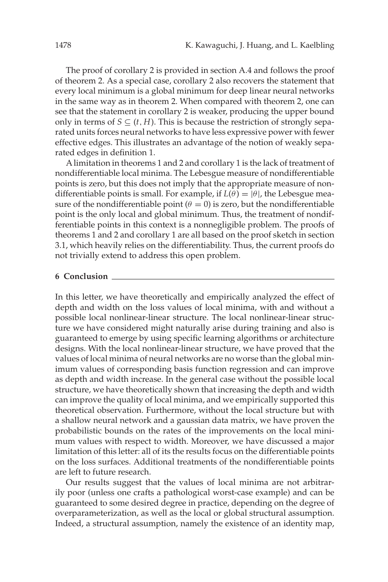The proof of corollary 2 is provided in section A.4 and follows the proof of theorem 2. As a special case, corollary 2 also recovers the statement that every local minimum is a global minimum for deep linear neural networks in the same way as in theorem 2. When compared with theorem 2, one can see that the statement in corollary 2 is weaker, producing the upper bound only in terms of  $S \subseteq (t, H)$ . This is because the restriction of strongly separated units forces neural networks to have less expressive power with fewer effective edges. This illustrates an advantage of the notion of weakly separated edges in definition 1.

Alimitation in theorems 1 and 2 and corollary 1 is the lack of treatment of nondifferentiable local minima. The Lebesgue measure of nondifferentiable points is zero, but this does not imply that the appropriate measure of nondifferentiable points is small. For example, if  $L(\theta) = |\theta|$ , the Lebesgue measure of the nondifferentiable point ( $\theta = 0$ ) is zero, but the nondifferentiable point is the only local and global minimum. Thus, the treatment of nondifferentiable points in this context is a nonnegligible problem. The proofs of theorems 1 and 2 and corollary 1 are all based on the proof sketch in section [3.1,](#page-3-0) which heavily relies on the differentiability. Thus, the current proofs do not trivially extend to address this open problem.

#### **6 Conclusion**

In this letter, we have theoretically and empirically analyzed the effect of depth and width on the loss values of local minima, with and without a possible local nonlinear-linear structure. The local nonlinear-linear structure we have considered might naturally arise during training and also is guaranteed to emerge by using specific learning algorithms or architecture designs. With the local nonlinear-linear structure, we have proved that the values of local minima of neural networks are no worse than the global minimum values of corresponding basis function regression and can improve as depth and width increase. In the general case without the possible local structure, we have theoretically shown that increasing the depth and width can improve the quality of local minima, and we empirically supported this theoretical observation. Furthermore, without the local structure but with a shallow neural network and a gaussian data matrix, we have proven the probabilistic bounds on the rates of the improvements on the local minimum values with respect to width. Moreover, we have discussed a major limitation of this letter: all of its the results focus on the differentiable points on the loss surfaces. Additional treatments of the nondifferentiable points are left to future research.

Our results suggest that the values of local minima are not arbitrarily poor (unless one crafts a pathological worst-case example) and can be guaranteed to some desired degree in practice, depending on the degree of overparameterization, as well as the local or global structural assumption. Indeed, a structural assumption, namely the existence of an identity map,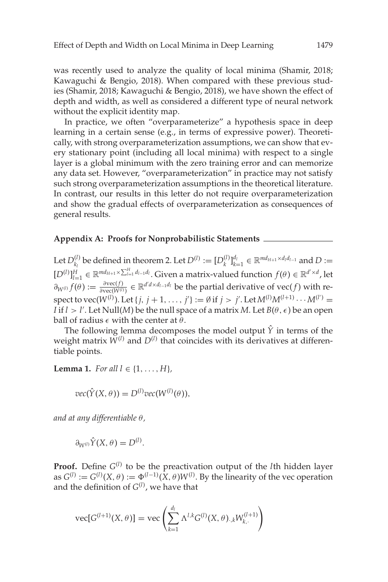<span id="page-17-0"></span>was recently used to analyze the quality of local minima (Shamir, [2018;](#page-36-0) Kawaguchi & Bengio, [2018\)](#page-35-0). When compared with these previous studies (Shamir, [2018;](#page-36-0) Kawaguchi & Bengio, [2018\)](#page-35-0), we have shown the effect of depth and width, as well as considered a different type of neural network without the explicit identity map.

In practice, we often "overparameterize" a hypothesis space in deep learning in a certain sense (e.g., in terms of expressive power). Theoretically, with strong overparameterization assumptions, we can show that every stationary point (including all local minima) with respect to a single layer is a global minimum with the zero training error and can memorize any data set. However, "overparameterization" in practice may not satisfy such strong overparameterization assumptions in the theoretical literature. In contrast, our results in this letter do not require overparameterization and show the gradual effects of overparameterization as consequences of general results.

#### **Appendix A: Proofs for Nonprobabilistic Statements**

Let  $D_{k_l}^{(l)}$  be defined in theorem 2. Let  $D^{(l)} := [D_k^{(l)}]_{k=1}^{d_l} \in \mathbb{R}^{md_{H+1} \times d_l d_{l-1}}$  and  $D :=$  $[D^{(l)}]_{l=1}^H \in \mathbb{R}^{md_{H+1}\times\sum_{l=1}^H d_{l-1}d_l}$ . Given a matrix-valued function  $f(\theta) \in \mathbb{R}^{d'\times d}$ , let  $\partial_{W^{(l)}} f(\theta) := \frac{\partial \text{vec}(f)}{\partial \text{vec}(W^{(l)})} \in \mathbb{R}^{d' d \times d_{l-1} d_l}$  be the partial derivative of vec(*f*) with re- ${\rm spec}$ t to vec( $W^{(l)}$ ). Let { $j, j + 1, ..., j'$ } := Ø if  $j > j'$ . Let  $M^{(l)}M^{(l+1)}\cdots M^{(l')}$  = *I* if  $l > l'$ . Let Null(*M*) be the null space of a matrix *M*. Let  $B(\theta, \epsilon)$  be an open ball of radius  $\epsilon$  with the center at  $\theta$ .

The following lemma decomposes the model output  $\hat{Y}$  in terms of the weight matrix  $W^{(l)}$  and  $D^{(l)}$  that coincides with its derivatives at differentiable points.

**Lemma 1.** *For all*  $l \in \{1, ..., H\}$ *,* 

$$
vec(\hat{Y}(X,\theta)) = D^{(l)}vec(W^{(l)}(\theta)),
$$

*and at any differentiable* θ*,*

$$
\partial_{W^{(l)}} \hat{Y}(X,\theta) = D^{(l)}.
$$

**Proof.** Define  $G^{(l)}$  to be the preactivation output of the *l*th hidden layer as  $G^{(l)} := G^{(l)}(X, \theta) := \Phi^{(l-1)}(X, \theta)W^{(l)}$ . By the linearity of the vec operation and the definition of *G*(*l*) , we have that

vec[
$$
G^{(l+1)}(X, \theta)
$$
] = vec $\left(\sum_{k=1}^{d_l} \Lambda^{l,k} G^{(l)}(X, \theta)_{k,k} W_{k,k}^{(l+1)}\right)$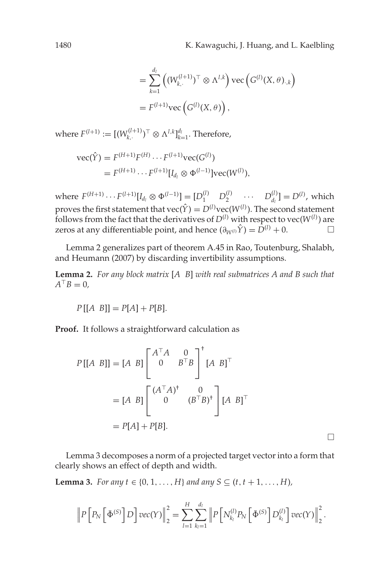$$
= \sum_{k=1}^{d_i} \left( (W_{k, \cdot}^{(l+1)})^\top \otimes \Lambda^{l, k} \right) \text{vec}\left( G^{(l)}(X, \theta)_{\cdot, k} \right)
$$

$$
= F^{(l+1)} \text{vec}\left( G^{(l)}(X, \theta) \right),
$$

where  $F^{(l+1)} := [(W_{k,\cdot}^{(l+1)})^\top \otimes \Lambda^{l,k}]_{k=1}^{d_l}.$  Therefore,

vec(
$$
\hat{Y}
$$
) =  $F^{(H+1)}F^{(H)} \cdots F^{(l+1)}\text{vec}(G^{(l)})$   
=  $F^{(H+1)} \cdots F^{(l+1)}[I_{d_l} \otimes \Phi^{(l-1)}]\text{vec}(W^{(l)}),$ 

 $W = F^{(H+1)} \cdots F^{(l+1)}[I_{d_l} \otimes \Phi^{(l-1)}] = [D_1^{(l)} \quad D_2^{(l)} \quad \cdots \quad D_{d_l}^{(l)}] = D^{(l)}$ , which proves the first statement that  $\text{vec}(\hat{Y}) = D^{(l)}\text{vec}(W^{(l)})$ . The second statement follows from the fact that the derivatives of  $D^{(l)}$  with respect to vec( $W^{(l)}$ ) are zeros at any differentiable point, and hence  $(\partial_{W^{(l)}}\hat{Y}) = D^{(l)} + 0$ .  $□$ 

Lemma 2 generalizes part of theorem A.45 in Rao, Toutenburg, Shalabh, and Heumann [\(2007\)](#page-36-0) by discarding invertibility assumptions.

**Lemma 2.** *For any block matrix* [*A B*] *with real submatrices A and B such that*  $A^{\top}B=0$ ,

$$
P[[A \ B]] = P[A] + P[B].
$$

**Proof.** It follows a straightforward calculation as

$$
P[[A \ B]] = [A \ B] \begin{bmatrix} A^{\top} A & 0 \\ 0 & B^{\top} B \end{bmatrix}^{\dagger} [A \ B]^{\top}
$$
  
=  $[A \ B] \begin{bmatrix} (A^{\top} A)^{\dagger} & 0 \\ 0 & (B^{\top} B)^{\dagger} \end{bmatrix} [A \ B]^{\top}$   
=  $P[A] + P[B].$ 

Lemma 3 decomposes a norm of a projected target vector into a form that clearly shows an effect of depth and width.

**Lemma 3.** *For any t* ∈ {0, 1, ..., *H*} *and any S* ⊆ (*t*, *t* + 1, ..., *H*)*,* 

$$
\left\|P\left[P_N\left(\bar{\Phi}^{(S)}\right]D\right]\text{vec}(Y)\right\|_2^2 = \sum_{l=1}^H\sum_{k_l=1}^{d_l} \left\|P\left[N_{k_l}^{(l)}P_N\left(\bar{\Phi}^{(S)}\right]D_{k_l}^{(l)}\right]\text{vec}(Y)\right\|_2^2.
$$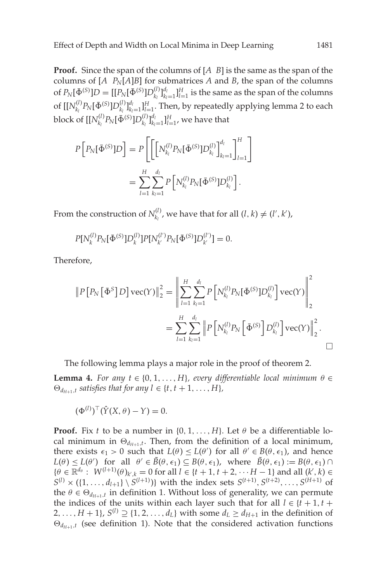**Proof.** Since the span of the columns of [*A B*] is the same as the span of the columns of  $[A \ P_N[A]B]$  for submatrices  $A$  and  $B$ , the span of the columns of  $P_N[\bar{\Phi}^{(S)}]D = [[P_N[\bar{\Phi}^{(S)}]D_{k_l}^{(l)}]_{k_l=1}^{d_l}]_{l=1}^H$  is the same as the span of the columns of  $[[N_{k_l}^{(l)}P_N[\bar{\Phi}^{(S)}]D_{k_l}^{(l)}]_{k_l=1}^{d_l}$  *H*<sub>=1</sub>. Then, by repeatedly applying lemma 2 to each block of  $[[N_{k_l}^{(l)}P_N[{\bar{\Phi}^{(S)}}]D_{k_l}^{(l)}]_{k_l=1}^{d_l}]_{l=1}^H$ , we have that

$$
P\left[P_N[\bar{\Phi}^{(S)}]D\right] = P\left[\left[N_{k_l}^{(l)}P_N[\bar{\Phi}^{(S)}]D_{k_l}^{(l)}\right]_{k_l=1}^{d_l}\right]^{H} = \sum_{l=1}^{H} \sum_{k_l=1}^{d_l} P\left[N_{k_l}^{(l)}P_N[\bar{\Phi}^{(S)}]D_{k_l}^{(l)}\right].
$$

From the construction of  $N_{k_l}^{(l)}$ , we have that for all  $(l, k) \neq (l', k')$ ,

$$
P[N_k^{(l)}P_N[\bar{\Phi}^{(S)}]D_k^{(l)}]P[N_{k'}^{(l')}P_N[\bar{\Phi}^{(S)}]D_{k'}^{(l')}]=0.
$$

Therefore,

$$
||P[P_N[\bar{\Phi}^S]D] \operatorname{vec}(Y)||_2^2 = \left\| \sum_{l=1}^H \sum_{k_l=1}^{d_l} P\left[N_{k_l}^{(l)} P_N[\bar{\Phi}^{(S)}]D_{k_l}^{(l)}\right] \operatorname{vec}(Y)\right\|_2^2
$$
  
= 
$$
\sum_{l=1}^H \sum_{k_l=1}^{d_l} ||P\left[N_{k_l}^{(l)} P_N[\bar{\Phi}^{(S)}]D_{k_l}^{(l)}\right] \operatorname{vec}(Y)||_2^2.
$$

The following lemma plays a major role in the proof of theorem 2.

**Lemma 4.** *For any t*  $\in$  {0, 1, ..., *H*}*, every differentiable local minimum*  $\theta \in$  $\Theta_{d_{H+1},t}$  *satisfies that for any l*  $\in$  {*t*, *t* + 1, ..., *H*}*,* 

 $(\Phi^{(l)})^{\top} (\hat{Y}(X, \theta) - Y) = 0.$ 

**Proof.** Fix *t* to be a number in  $\{0, 1, \ldots, H\}$ . Let  $\theta$  be a differentiable local minimum in  $\Theta_{d_{H+1},t}$ . Then, from the definition of a local minimum, there exists  $\epsilon_1 > 0$  such that  $L(\theta) \le L(\theta')$  for all  $\theta' \in B(\theta, \epsilon_1)$ , and hence  $L(\theta) \le L(\theta')$  for all  $\theta' \in \tilde{B}(\theta,\epsilon_1) \subseteq B(\theta,\epsilon_1)$ , where  $\tilde{B}(\theta,\epsilon_1) := B(\theta,\epsilon_1) \cap$  $\{\theta \in \mathbb{R}^{d_{\theta}} : W^{(l+1)}(\theta)_{k,k} = 0 \text{ for all } l \in \{t+1, t+2, \dots H-1\} \text{ and all } (k',k) \in$  $S^{(l)} \times (\{1, \ldots, d_{l+1}\} \setminus S^{(l+1)})\}$  with the index sets  $S^{(t+1)}$ ,  $S^{(t+2)}$ , ...,  $S^{(H+1)}$  of the  $\theta \in \Theta_{d_{H+1},t}$  in definition 1. Without loss of generality, we can permute the indices of the units within each layer such that for all  $l \in \{t+1, t+1\}$ 2,...,  $H + 1$ ,  $S^{(l)} \supseteq \{1, 2, \ldots, d_l\}$  with some  $d_l \geq d_{H+1}$  in the definition of  $\Theta_{d_{H+1},t}$  (see definition 1). Note that the considered activation functions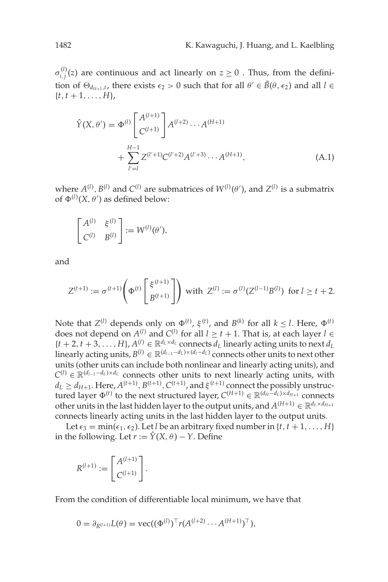<span id="page-20-0"></span> $\sigma_{i,j}^{(l)}(z)$  are continuous and act linearly on  $z \geq 0$  . Thus, from the definition of  $\Theta_{d_{H+1},t}$ , there exists  $\epsilon_2 > 0$  such that for all  $\theta' \in \tilde{B}(\theta,\epsilon_2)$  and all  $l \in$  $\{t, t+1, \ldots, H\}$ 

$$
\hat{Y}(X,\theta') = \Phi^{(l)} \begin{bmatrix} A^{(l+1)} \\ C^{(l+1)} \end{bmatrix} A^{(l+2)} \cdots A^{(H+1)} + \sum_{l'=l}^{H-1} Z^{(l'+1)} C^{(l'+2)} A^{(l'+3)} \cdots A^{(H+1)},
$$
\n(A.1)

where  $A^{(l)}$ ,  $B^{(l)}$  and  $C^{(l)}$  are submatrices of  $W^{(l)}(\theta')$ , and  $Z^{(l)}$  is a submatrix of  $\Phi^{(l)}(X, \theta')$  as defined below:

$$
\begin{bmatrix} A^{(l)} & \xi^{(l)} \\ C^{(l)} & B^{(l)} \end{bmatrix} := W^{(l)}(\theta'),
$$

and

$$
Z^{(t+1)} := \sigma^{(t+1)} \left( \Phi^{(t)} \begin{bmatrix} \xi^{(t+1)} \\ B^{(t+1)} \end{bmatrix} \right) \text{ with } Z^{(l)} := \sigma^{(l)}(Z^{(l-1)}B^{(l)}) \text{ for } l \geq t+2.
$$

Note that  $Z^{(l)}$  depends only on  $\Phi^{(t)}$ ,  $\xi^{(t)}$ , and  $B^{(k)}$  for all  $k \leq l$ . Here,  $\Phi^{(t)}$ does not depend on  $A^{(l)}$  and  $C^{(l)}$  for all  $l \ge t + 1$ . That is, at each layer  $l \in$  ${t+2, t+3, \ldots, H}$ ,  $A^{(l)} \in \mathbb{R}^{d_L \times d_L}$  connects  $\overline{d}_L$  linearly acting units to next  $d_L$ linearly acting units,  $B^{(l)} \in \mathbb{R}^{(d_{l-1}-d_L)\times(d_l-d_L)}$  connects other units to next other units (other units can include both nonlinear and linearly acting units), and  $C^{(l)} \in \mathbb{R}^{(d_{l-1}-d_L)\times d_L}$  connects other units to next linearly acting units, with  $d_L \geq d_{H+1}$ . Here,  $A^{(t+1)}$ ,  $B^{(t+1)}$ ,  $C^{(t+1)}$ , and  $\xi^{(t+1)}$  connect the possibly unstructured layer  $\Phi^{(t)}$  to the next structured layer,  $C^{(H+1)} \in \mathbb{R}^{(d_H - d_L) \times d_{H+1}}$  connects other units in the last hidden layer to the output units, and  $A^{(H+1)} \in \mathbb{R}^{d_L \times d_{H+1}}$ connects linearly acting units in the last hidden layer to the output units.

Let  $\epsilon_3 = \min(\epsilon_1, \epsilon_2)$ . Let *l* be an arbitrary fixed number in {*t*, *t* + 1, ..., *H*} in the following. Let  $r := \hat{Y}(X, \theta) - Y$ . Define

$$
R^{(l+1)} := \begin{bmatrix} A^{(l+1)} \\ C^{(l+1)} \end{bmatrix}.
$$

From the condition of differentiable local minimum, we have that

$$
0 = \partial_{R^{(l+1)}} L(\theta) = \text{vec}((\Phi^{(l)})^{\top} r(A^{(l+2)} \cdots A^{(H+1)})^{\top}),
$$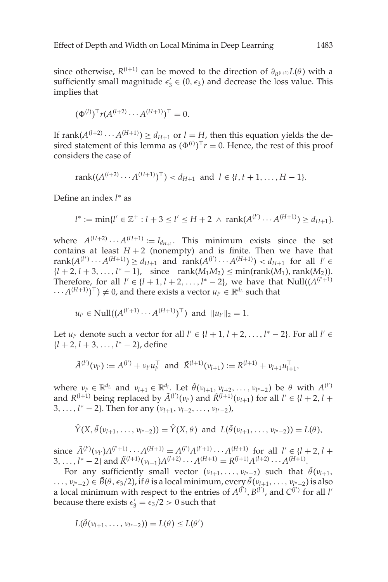since otherwise,  $R^{(l+1)}$  can be moved to the direction of  $\partial_{R^{(l+1)}}L(\theta)$  with a sufficiently small magnitude  $\epsilon'_3 \in (0, \epsilon_3)$  and decrease the loss value. This implies that

$$
(\Phi^{(l)})^{\top} r(A^{(l+2)} \cdots A^{(H+1)})^{\top} = 0.
$$

If  $\text{rank}(A^{(l+2)} \cdots A^{(H+1)}) \ge d_{H+1}$  or  $l = H$ , then this equation yields the desired statement of this lemma as  $(\Phi^{(l)})^T r = 0$ . Hence, the rest of this proof considers the case of

rank(
$$
(A^{(l+2)} \cdots A^{(H+1)})^{\top}
$$
) <  $d_{H+1}$  and  $l \in \{t, t+1, \ldots, H-1\}$ .

Define an index *l* <sup>∗</sup> as

$$
l^* := \min\{l' \in \mathbb{Z}^+ : l + 3 \le l' \le H + 2 \, \wedge \, \text{rank}(A^{(l')} \cdots A^{(H+1)}) \ge d_{H+1}\},
$$

where  $A^{(H+2)} \cdots A^{(H+1)} := I_{d_{H+1}}$ . This minimum exists since the set contains at least  $H + 2$  (nonempty) and is finite. Then we have that  $rank(A^{(l^*)} \cdots A^{(H+1)}) \ge d_{H+1}$  and  $rank(A^{(l')} \cdots A^{(H+1)}) < d_{H+1}$  for all  $l' \in$  ${l + 2, l + 3, ..., l^* - 1}$ , since rank $(M_1M_2) \leq min(\text{rank}(M_1), \text{rank}(M_2))$ . Therefore, for all  $l' \in \{l + 1, l + 2, ..., l^* - 2\}$ , we have that  $Null((A^{(l'+1)})$  $\cdots A^{(H+1)})^{\top}$   $\neq 0$ , and there exists a vector  $u_{l'} \in \mathbb{R}^{d_L}$  such that

$$
u_{l'} \in Null((A^{(l'+1)} \cdots A^{(H+1)})^{\top})
$$
 and  $||u_{l'}||_2 = 1$ .

Let  $u_l$  denote such a vector for all  $l' \in \{l+1, l+2, ..., l^* - 2\}$ . For all  $l' \in$ {*l* + 2, *l* + 3,..., *l* <sup>∗</sup> − 2}, define

$$
\tilde{A}^{(l')}(v_{l'}) := A^{(l')} + v_{l'} u_{l'}^{\top} \text{ and } \tilde{R}^{(l+1)}(v_{l+1}) := R^{(l+1)} + v_{l+1} u_{l+1}^{\top},
$$

where  $v_{l'} \in \mathbb{R}^{d_L}$  and  $v_{l+1} \in \mathbb{R}^{d_l}$ . Let  $\tilde{\theta}(v_{l+1}, v_{l+2}, \ldots, v_{l^*-2})$  be  $\theta$  with  $A^{(l')}$ and  $R^{(l+1)}$  being replaced by  $\tilde{A}^{(l')}(v_{l'})$  and  $\tilde{R}^{(l+1)}(v_{l+1})$  for all  $l' \in \{l+2, l+1\}$ 3,..., *l* <sup>∗</sup> − 2}. Then for any (ν*l*+1, ν*l*+2,...,ν*l*∗−<sup>2</sup> ),

$$
\hat{Y}(X, \tilde{\theta}(v_{l+1}, \ldots, v_{l^*-2})) = \hat{Y}(X, \theta)
$$
 and  $L(\tilde{\theta}(v_{l+1}, \ldots, v_{l^*-2})) = L(\theta)$ ,

since  $\tilde{A}^{(l')}(v_l)A^{(l'+1)}\cdots A^{(H+1)} = A^{(l')}A^{(l'+1)}\cdots A^{(H+1)}$  for all  $l' \in \{l+2, l+1\}$ 3, ...,  $l^*$  – 2} and  $\tilde{R}^{(l+1)}(\nu_{l+1})A^{(l+2)}\cdots A^{(H+1)} = R^{(l+1)}A^{(l+2)}\cdots A^{(H+1)}$ .

For any sufficiently small vector  $(v_{l+1},...,v_{l^*-2})$  such that  $\tilde{\theta}(v_{l+1},...,v_{l^*-2})$ ...,  $v_{l^*−2}$ ) ∈  $\tilde{B}(\theta, \epsilon_3/2)$ , if  $\theta$  is a local minimum, every  $\tilde{\theta}(v_{l+1}, \ldots, v_{l^*-2})$  is also a local minimum with respect to the entries of  $A^{(l)}, B^{(l)}$ , and  $C^{(l')}$  for all *l'* because there exists  $\epsilon'_3 = \epsilon_3/2 > 0$  such that

$$
L(\tilde{\theta}(\nu_{l+1},\ldots,\nu_{l^*-2}))=L(\theta)\leq L(\theta')
$$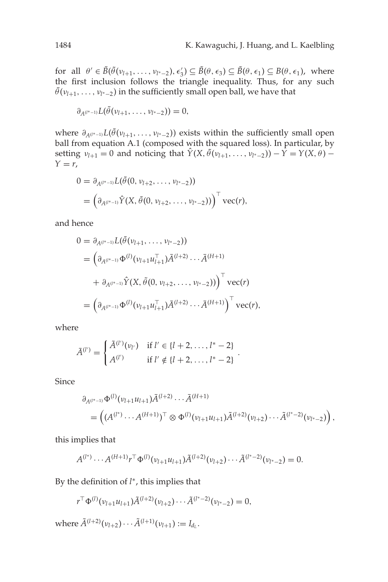for all  $\theta' \in \tilde{B}(\tilde{\theta}(\nu_{l+1},\ldots,\nu_{l^*-2}), \epsilon'_3) \subseteq \tilde{B}(\theta,\epsilon_3) \subseteq \tilde{B}(\theta,\epsilon_1) \subseteq B(\theta,\epsilon_1)$ , where the first inclusion follows the triangle inequality. Thus, for any such  $\tilde{\theta}(v_{l+1},\ldots,v_{l^*-2})$  in the sufficiently small open ball, we have that

$$
\partial_{A^{(l^*-1)}}L(\tilde{\theta}(\nu_{l+1},\ldots,\nu_{l^*-2}))=0,
$$

where  $\partial_{A^{(l^*-1)}}L(\tilde{\theta}(\nu_{l+1},\ldots,\nu_{l^*-2}))$  exists within the sufficiently small open ball from equation [A.1](#page-20-0) (composed with the squared loss). In particular, by setting  $v_{l+1} = 0$  and noticing that  $\hat{Y}(X, \tilde{\theta}(v_{l+1}, \ldots, v_{l^*-2})) - \hat{Y} = Y(X, \theta) - \hat{Y}$  $Y = r$ ,

$$
0 = \partial_{A^{(l^*-1)}} L(\tilde{\theta}(0, \nu_{l+2}, \dots, \nu_{l^*-2}))
$$
  
= 
$$
\left( \partial_{A^{(l^*-1)}} \hat{Y}(X, \tilde{\theta}(0, \nu_{l+2}, \dots, \nu_{l^*-2})) \right)^{\top} \text{vec}(r),
$$

and hence

$$
0 = \partial_{A^{(l^*-1)}} L(\tilde{\theta}(\nu_{l+1}, \dots, \nu_{l^*-2}))
$$
  
=  $\left(\partial_{A^{(l^*-1)}} \Phi^{(l)}(\nu_{l+1} u_{l+1}^\top) \bar{A}^{(l+2)} \cdots \bar{A}^{(H+1)}\right)$   
+  $\partial_{A^{(l^*-1)}} \hat{Y}(X, \tilde{\theta}(0, \nu_{l+2}, \dots, \nu_{l^*-2}))\right)^\top \text{vec}(r)$   
=  $\left(\partial_{A^{(l^*-1)}} \Phi^{(l)}(\nu_{l+1} u_{l+1}^\top) \bar{A}^{(l+2)} \cdots \bar{A}^{(H+1)}\right)^\top \text{vec}(r),$ 

where

$$
\bar{A}^{(l')} = \begin{cases} \tilde{A}^{(l')}(v_{l'}) & \text{if } l' \in \{l+2,\ldots,l^*-2\} \\ A^{(l')} & \text{if } l' \notin \{l+2,\ldots,l^*-2\} \end{cases}.
$$

Since

$$
\partial_{A^{(l^*-1)}} \Phi^{(l)}(\nu_{l+1} u_{l+1}) \bar{A}^{(l+2)} \cdots \bar{A}^{(H+1)} = ((A^{(l^*)} \cdots A^{(H+1)})^\top \otimes \Phi^{(l)}(\nu_{l+1} u_{l+1}) \tilde{A}^{(l+2)}(\nu_{l+2}) \cdots \tilde{A}^{(l^*-2)}(\nu_{l^*-2})),
$$

this implies that

$$
A^{(l^*)}\cdots A^{(H+1)}r^{\top}\Phi^{(l)}(\nu_{l+1}u_{l+1})\tilde{A}^{(l+2)}(\nu_{l+2})\cdots\tilde{A}^{(l^*-2)}(\nu_{l^*-2})=0.
$$

By the definition of *l* <sup>∗</sup>, this implies that

$$
r^{\top} \Phi^{(l)}(\nu_{l+1} u_{l+1}) \tilde{A}^{(l+2)}(\nu_{l+2}) \cdots \tilde{A}^{(l^*-2)}(\nu_{l^*-2}) = 0,
$$

where  $\tilde{A}^{(l+2)}(\nu_{l+2})\cdots \tilde{A}^{(l+1)}(\nu_{l+1}) := I_{d_l}$ .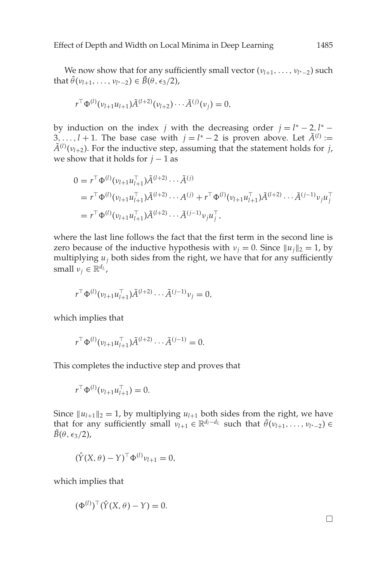We now show that for any sufficiently small vector ( $v$ <sub>*l*+1</sub>, ...,  $v$ <sub>*l*∗−2</sub>) such that  $\tilde{\theta}(v_{l+1},\ldots,v_{l^*-2}) \in \tilde{B}(\theta,\epsilon_3/2)$ ,

$$
r^{\top} \Phi^{(l)}(\nu_{l+1} u_{l+1}) \tilde{A}^{(l+2)}(\nu_{l+2}) \cdots \tilde{A}^{(j)}(\nu_j) = 0,
$$

by induction on the index *j* with the decreasing order  $j = l^* - 2$ ,  $l^* -$ 3,..., *l* + 1. The base case with  $j = l^* - 2$  is proven above. Let  $\tilde{A}^{(l)}$  :=  $\tilde{A}^{(l)}(\nu_{l+2})$ . For the inductive step, assuming that the statement holds for *j*, we show that it holds for  $j - 1$  as

$$
0 = r^{\top} \Phi^{(l)}(\nu_{l+1} u_{l+1}^{\top}) \tilde{A}^{(l+2)} \cdots \tilde{A}^{(j)}
$$
  
=  $r^{\top} \Phi^{(l)}(\nu_{l+1} u_{l+1}^{\top}) \tilde{A}^{(l+2)} \cdots A^{(j)} + r^{\top} \Phi^{(l)}(\nu_{l+1} u_{l+1}^{\top}) \tilde{A}^{(l+2)} \cdots \tilde{A}^{(j-1)} \nu_j u_j^{\top}$   
=  $r^{\top} \Phi^{(l)}(\nu_{l+1} u_{l+1}^{\top}) \tilde{A}^{(l+2)} \cdots \tilde{A}^{(j-1)} \nu_j u_j^{\top},$ 

where the last line follows the fact that the first term in the second line is zero because of the inductive hypothesis with  $v_j = 0$ . Since  $||u_j||_2 = 1$ , by multiplying  $u_i$  both sides from the right, we have that for any sufficiently small  $v_j \in \mathbb{R}^{d_L}$ ,

$$
r^{\top} \Phi^{(l)}(\nu_{l+1} u_{l+1}^{\top}) \tilde{A}^{(l+2)} \cdots \tilde{A}^{(j-1)} \nu_j = 0,
$$

which implies that

$$
r^{\top} \Phi^{(l)}(\nu_{l+1} u_{l+1}^{\top}) \tilde{A}^{(l+2)} \cdots \tilde{A}^{(j-1)} = 0.
$$

This completes the inductive step and proves that

$$
r^{\top} \Phi^{(l)}(\nu_{l+1} u_{l+1}^{\top}) = 0.
$$

Since  $||u_{l+1}||_2 = 1$ , by multiplying  $u_{l+1}$  both sides from the right, we have that for any sufficiently small  $v_{l+1} \in \mathbb{R}^{d_l-d_l}$  such that  $\tilde{\theta}(v_{l+1},...,v_{l^*-2}) \in$  $B(\theta,\epsilon_3/2)$ ,

$$
(\hat{Y}(X,\theta) - Y)^{\top} \Phi^{(l)} v_{l+1} = 0,
$$

which implies that

$$
(\Phi^{(l)})^{\top}(\hat{Y}(X,\theta)-Y)=0.
$$

 $\Box$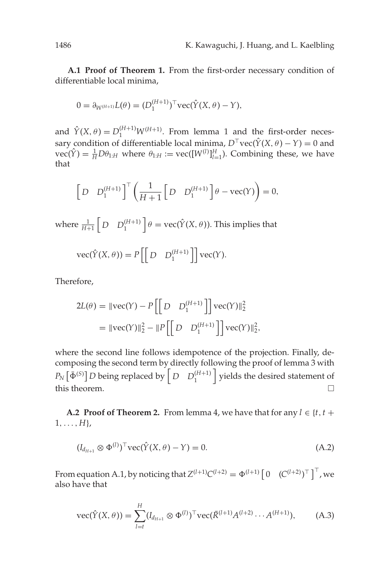<span id="page-24-0"></span>**A.1 Proof of Theorem 1.** From the first-order necessary condition of differentiable local minima,

$$
0 = \partial_{W^{(H+1)}} L(\theta) = (D_1^{(H+1)})^{\top} \text{vec}(\hat{Y}(X, \theta) - Y),
$$

and  $\hat{Y}(X, \theta) = D_1^{(H+1)} W^{(H+1)}$ . From lemma 1 and the first-order necessary condition of differentiable local minima,  $D^{\top}$ vec( $\hat{Y}(X, \theta) - Y$ ) = 0 and  $\text{vec}(\hat{Y}) = \frac{1}{H} D \theta_{1:H}$  where  $\theta_{1:H} := \text{vec}([W^{(l)}]_{l=1}^H)$ . Combining these, we have that

$$
\left[D \quad D_1^{(H+1)}\right]^{\top} \left(\frac{1}{H+1} \left[D \quad D_1^{(H+1)}\right] \theta - \text{vec}(Y)\right) = 0,
$$

where  $\frac{1}{H+1} \begin{bmatrix} D & D_1^{(H+1)} \end{bmatrix} \theta = \text{vec}(\hat{Y}(X, \theta)).$  This implies that

$$
\operatorname{vec}(\hat{Y}(X,\theta)) = P\left[\begin{bmatrix} D & D_1^{(H+1)} \end{bmatrix}\right] \operatorname{vec}(Y).
$$

Therefore,

$$
2L(\theta) = ||\text{vec}(Y) - P\left[\left[D \quad D_1^{(H+1)}\right]\right] \text{vec}(Y)||_2^2
$$
  
=  $||\text{vec}(Y)||_2^2 - ||P\left[\left[D \quad D_1^{(H+1)}\right]\right] \text{vec}(Y)||_2^2,$ 

where the second line follows idempotence of the projection. Finally, decomposing the second term by directly following the proof of lemma 3 with  $P_N\left[\bar{\Phi}^{(S)}\right]$ *D* being replaced by  $\left[D \quad D_1^{(H+1)}\right]$  yields the desired statement of this theorem.  $\Box$ 

**A.2 Proof of Theorem 2.** From lemma 4, we have that for any  $l \in \{t, t +$  $1, \ldots, H$ <sub>}</sub>,

$$
(I_{d_{H+1}} \otimes \Phi^{(l)})^{\top} \text{vec}(\hat{Y}(X,\theta) - Y) = 0. \tag{A.2}
$$

From equation [A.1,](#page-20-0) by noticing that  $Z^{(l+1)}C^{(l+2)} = \Phi^{(l+1)} [0 (C^{(l+2)})^{\top}]^{\top}$ , we also have that

$$
\text{vec}(\hat{Y}(X,\theta)) = \sum_{l=t}^{H} (I_{d_{H+1}} \otimes \Phi^{(l)})^{\top} \text{vec}(\bar{R}^{(l+1)} A^{(l+2)} \cdots A^{(H+1)}), \tag{A.3}
$$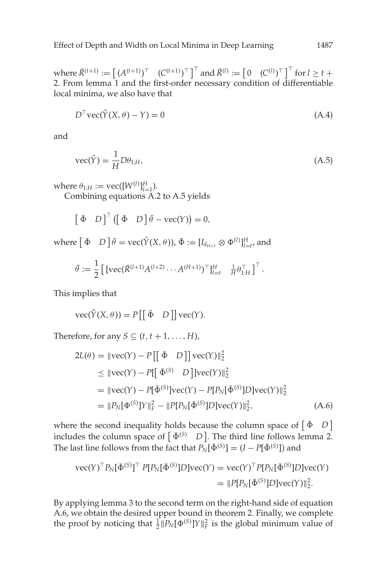$W$   $W$   $\text{here } \overline{R}^{(t+1)} := \begin{bmatrix} (A^{(t+1)})^{\top} & (C^{(t+1)})^{\top} \end{bmatrix}^{\top}$  and  $\overline{R}^{(l)} := \begin{bmatrix} 0 & (C^{(l)})^{\top} \end{bmatrix}^{\top}$  for  $l \geq t + 1$ 2. From lemma 1 and the first-order necessary condition of differentiable local minima, we also have that

$$
D^{\top} \text{vec}(\hat{Y}(X,\theta) - Y) = 0 \tag{A.4}
$$

and

$$
\text{vec}(\hat{Y}) = \frac{1}{H} D\theta_{1:H},\tag{A.5}
$$

where  $\theta_{1:H} := \text{vec}([W^{(l)}]_{l=1}^H)$ .

Combining equations [A.2](#page-24-0) to A.5 yields

$$
\begin{bmatrix} \bar{\Phi} & D \end{bmatrix}^{\top} (\begin{bmatrix} \bar{\Phi} & D \end{bmatrix} \bar{\theta} - \text{vec}(Y)) = 0,
$$

where  $\begin{bmatrix} \bar{\Phi} & D \end{bmatrix} \bar{\theta} = \text{vec}(\hat{Y}(X, \theta))$ ,  $\bar{\Phi} := [I_{d_{H+1}} \otimes \Phi^{(l)}]_{l=t'}^H$ , and

$$
\bar{\theta} := \frac{1}{2} \left[ \left[ \text{vec}(\bar{R}^{(l+1)} A^{(l+2)} \cdots A^{(H+1)})^{\top} \right]_{l=t}^{H} \quad \frac{1}{H} \theta_{1:H}^{\top} \right]^{\top}.
$$

This implies that

$$
\operatorname{vec}(\hat{Y}(X,\theta)) = P\left[\begin{bmatrix} \bar{\Phi} & D \end{bmatrix} \right] \operatorname{vec}(Y).
$$

Therefore, for any  $S \subseteq (t, t+1, \ldots, H)$ ,

$$
2L(\theta) = ||\text{vec}(Y) - P[[\bar{\Phi} D]]\text{vec}(Y)||_2^2
$$
  
\n
$$
\leq ||\text{vec}(Y) - P[[\bar{\Phi}^{(S)} D]]\text{vec}(Y)||_2^2
$$
  
\n
$$
= ||\text{vec}(Y) - P[\bar{\Phi}^{(S)}]\text{vec}(Y) - P[P_N[\bar{\Phi}^{(S)}]D]\text{vec}(Y)||_2^2
$$
  
\n
$$
= ||P_N[\Phi^{(S)}]Y||_F^2 - ||P[P_N[\bar{\Phi}^{(S)}]D]\text{vec}(Y)||_2^2,
$$
 (A.6)

where the second inequality holds because the column space of  $\begin{bmatrix} \bar{\Phi} & D \end{bmatrix}$ includes the column space of  $\begin{bmatrix} \bar{\Phi}^{(S)} & D \end{bmatrix}$ . The third line follows lemma 2. The last line follows from the fact that  $P_N[\bar{\Phi}^{(S)}] = (I - P[\bar{\Phi}^{(S)}])$  and

$$
\begin{split} \text{vec}(Y)^{\top} P_N[\bar{\Phi}^{(S)}]^{\top} P[P_N[\bar{\Phi}^{(S)}]D] \text{vec}(Y) &= \text{vec}(Y)^{\top} P[P_N[\bar{\Phi}^{(S)}]D] \text{vec}(Y) \\ &= \|P[P_N[\bar{\Phi}^{(S)}]D] \text{vec}(Y) \|_2^2. \end{split}
$$

By applying lemma 3 to the second term on the right-hand side of equation A.6, we obtain the desired upper bound in theorem 2. Finally, we complete the proof by noticing that  $\frac{1}{2}$   $||P_N[\Phi^{(S)}]Y||_F^2$  is the global minimum value of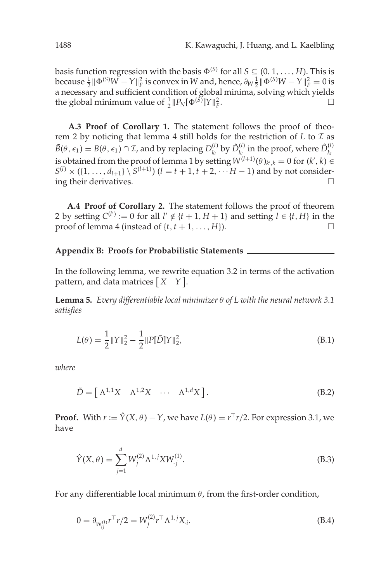<span id="page-26-0"></span>basis function regression with the basis  $\Phi^{(S)}$  for all  $S \subseteq (0, 1, \ldots, H)$ . This is **because**  $\frac{1}{2}$ ||Φ<sup>(S)</sup>W − *Y*|| $^2$ <sub>*F*</sub> is convex in *W* and, hence,  $\partial_W \frac{1}{2}$ ||Φ<sup>(S)</sup>W − *Y*|| $^2$ <sub>*F*</sub> = 0 is a necessary and sufficient condition of global minima, solving which yields the global minimum value of  $\frac{1}{2}$   $||P_N[\Phi^{(S)}]Y||_F^2$  $\Gamma$ *F*.

**A.3 Proof of Corollary 1.** The statement follows the proof of theorem 2 by noticing that lemma 4 still holds for the restriction of  $L$  to  $\mathcal I$  as  $\tilde{B}(\theta,\epsilon_1) = B(\theta,\epsilon_1) \cap \mathcal{I}$ , and by replacing  $D_{k_l}^{(l)}$  by  $\hat{D}_{k_l}^{(l)}$  in the proof, where  $\hat{D}_{k_l}^{(l)}$ is obtained from the proof of lemma 1 by setting  $W^{(l+1)}(\theta)_{k',k} = 0$  for  $(k',k) \in$  $S^{(l)} \times (\{1, ..., d_{l+1}\} \setminus S^{(l+1)})$  (*l* = *t* + 1, *t* + 2, ··· *H* − 1) and by not considering their derivatives.

**A.4 Proof of Corollary 2.** The statement follows the proof of theorem 2 by setting  $C^{(l')} := 0$  for all  $l' \notin \{t+1, H+1\}$  and setting  $l \in \{t, H\}$  in the proof of lemma 4 (instead of  $\{t, t + 1, \ldots, H\}$ ).

#### **Appendix B: Proofs for Probabilistic Statements**

In the following lemma, we rewrite equation [3.2](#page-3-0) in terms of the activation pattern, and data matrices  $\begin{bmatrix} X & Y \end{bmatrix}$ .

**Lemma 5.** *Every differentiable local minimizer* θ *of L with the neural network 3.1 satisfies*

$$
L(\theta) = \frac{1}{2} ||Y||_2^2 - \frac{1}{2} ||P[\tilde{D}]Y||_2^2,
$$
\n(B.1)

*where*

$$
\tilde{D} = \begin{bmatrix} \Lambda^{1,1} X & \Lambda^{1,2} X & \cdots & \Lambda^{1,d} X \end{bmatrix}.
$$
 (B.2)

**Proof.** With  $r := \hat{Y}(X, \theta) - Y$ , we have  $L(\theta) = r^T r/2$ . For expression 3.1, we have

$$
\hat{Y}(X,\theta) = \sum_{j=1}^{d} W_j^{(2)} \Lambda^{1,j} X W_j^{(1)}.
$$
\n(B.3)

For any differentiable local minimum  $\theta$ , from the first-order condition,

$$
0 = \partial_{W_{ij}^{(1)}} r^\top r/2 = W_j^{(2)} r^\top \Lambda^{1,j} X_i.
$$
 (B.4)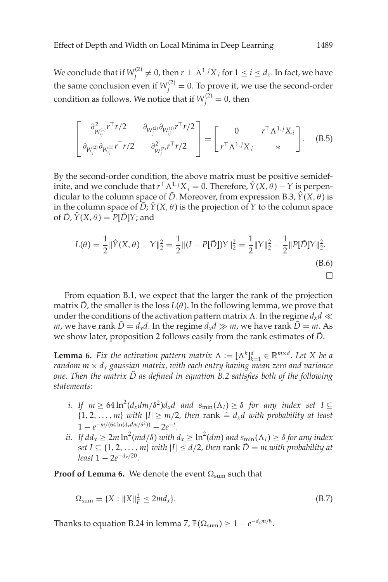<span id="page-27-0"></span>We conclude that if  $W_j^{(2)} \neq 0$ , then  $r \perp \Lambda^{1,j} X_j$  for  $1 \leq i \leq d_x.$  In fact, we have the same conclusion even if  $W_j^{(2)} = 0$ . To prove it, we use the second-order condition as follows. We notice that if  $W_j^{(2)} = 0$ , then

$$
\begin{bmatrix}\n\frac{\partial_{W_{ij}^{(1)}}^2 r^\top r/2 & \partial_{W_{ij}^{(2)}} \partial_{W_{ij}^{(1)}} r^\top r/2 \\
\frac{\partial_{W_{ij}^{(2)}} \partial_{W_{ij}^{(1)}} r^\top r/2 & \partial_{W_{ij}^{(2)}}^2 r^\top r/2\n\end{bmatrix} = \begin{bmatrix}\n0 & r^\top \Lambda^{1,j} X_i \\
r^\top \Lambda^{1,j} X_i & * \n\end{bmatrix}.
$$
\n(B.5)

By the second-order condition, the above matrix must be positive semidefinite, and we conclude that  $r^{\top} \Lambda^{1,j} X_i = 0$ . Therefore,  $\hat{Y}(X, \theta) - Y$  is perpendicular to the column space of  $\tilde{D}$ . Moreover, from expression B.3,  $\hat{Y}(X,\theta)$  is in the column space of  $\tilde{D}$ ;  $\hat{Y}(X, \theta)$  is the projection of  $Y$  to the column space of  $\tilde{D}$ ,  $\hat{Y}(X, \theta) = P[\tilde{D}]Y$ ; and

$$
L(\theta) = \frac{1}{2} \|\hat{Y}(X,\theta) - Y\|_2^2 = \frac{1}{2} \|(I - P[\tilde{D}])Y\|_2^2 = \frac{1}{2} \|\hat{Y}\|_2^2 - \frac{1}{2} \|\hat{P[\tilde{D}]}Y\|_2^2.
$$
\n(B.6)

From equation [B.1,](#page-26-0) we expect that the larger the rank of the projection matrix  $\hat{D}$ , the smaller is the loss  $L(\theta)$ . In the following lemma, we prove that under the conditions of the activation pattern matrix  $\Lambda$ . In the regime  $d_x d \ll$ *m*, we have rank  $\tilde{D} = d_x d$ . In the regime  $d_x d \gg m$ , we have rank  $\tilde{D} = m$ . As we show later, proposition 2 follows easily from the rank estimates of  $\tilde{D}$ .

**Lemma 6.** *Fix the activation pattern matrix*  $\Lambda := [\Lambda^k]_{k=1}^d \in \mathbb{R}^{m \times d}$ . Let X be a *random*  $m \times d_x$  *gaussian matrix, with each entry having mean zero and variance one. Then the matrix D as defined in equation [B.2](#page-26-0) satisfies both of the following* ˜ *statements:*

- *i.* If  $m \geq 64 \ln^2(d_x dm/\delta^2) d_x d$  and  $s_{\min}(\Lambda_I) \geq \delta$  for any index set  $I \subseteq$  ${1, 2, \ldots, m}$  *with*  $|I| \geq m/2$ , then rank  $\tilde{=} d_x d$  *with probability at least*  $1 - e^{-m/(64 \ln(d_x dm/\delta^2))} - 2e^{-t}.$
- *ii.* If  $dd_x \geq 2m \ln^2 (md/ \delta)$  with  $d_x \geq \ln^2 (dm)$  and  $s_{\min}(\Lambda_I) \geq \delta$  for any index *set*  $I \subseteq \{1, 2, \ldots, m\}$  *with*  $|I| \leq d/2$ , then rank  $\tilde{D} = m$  *with probability at least*  $1 - 2e^{-d_x/20}$ .

**Proof of Lemma 6.** We denote the event  $\Omega_{\text{sum}}$  such that

$$
\Omega_{\text{sum}} = \{ X : \|X\|_F^2 \le 2md_x \}. \tag{B.7}
$$

Thanks to equation [B.24](#page-33-0) in lemma 7,  $\mathbb{P}(\Omega_{\text{sum}}) \geq 1 - e^{-d_x m/8}$ .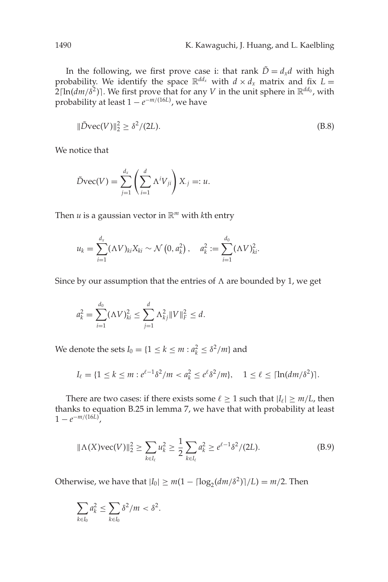In the following, we first prove case i: that rank  $\tilde{D} = d_x d$  with high probability. We identify the space  $\mathbb{R}^{dd_x}$  with  $d \times d_x$  matrix and fix  $L =$  $2[\ln(\frac{dm}{\delta^2})]$ . We first prove that for any *V* in the unit sphere in  $\mathbb{R}^{dd_0}$ , with probability at least 1 − *e*<sup>−</sup>*m*/(16*L*) , we have

$$
\|\tilde{D}\text{vec}(V)\|_2^2 \ge \delta^2/(2L). \tag{B.8}
$$

We notice that

$$
\tilde{D}\text{vec}(V) = \sum_{j=1}^{d_x} \left(\sum_{i=1}^d \Lambda^i V_{ji}\right) X_{.j} =: u.
$$

Then *u* is a gaussian vector in  $\mathbb{R}^m$  with *k*th entry

$$
u_k = \sum_{i=1}^{d_x} (\Lambda V)_{ki} X_{ki} \sim \mathcal{N}\left(0, a_k^2\right), \quad a_k^2 := \sum_{i=1}^{d_0} (\Lambda V)_{ki}^2.
$$

Since by our assumption that the entries of  $\Lambda$  are bounded by 1, we get

$$
a_k^2 = \sum_{i=1}^{d_0} (\Lambda V)_{ki}^2 \le \sum_{j=1}^d \Lambda_{kj}^2 \|V\|_F^2 \le d.
$$

We denote the sets  $I_0 = \{1 \leq k \leq m : a_k^2 \leq \delta^2/m\}$  and

$$
I_{\ell} = \{1 \leq k \leq m : e^{\ell-1} \delta^2 / m < a_k^2 \leq e^{\ell} \delta^2 / m\}, \quad 1 \leq \ell \leq \lceil \ln(dm/\delta^2) \rceil.
$$

There are two cases: if there exists some  $\ell \geq 1$  such that  $|I_{\ell}| \geq m/L$ , then thanks to equation [B.25](#page-33-0) in lemma 7, we have that with probability at least  $1 - e^{-m/(16L)}$ ,

$$
\|\Lambda(X)\text{vec}(V)\|_2^2 \ge \sum_{k \in I_\ell} u_k^2 \ge \frac{1}{2} \sum_{k \in I_\ell} a_k^2 \ge e^{\ell - 1} \delta^2 / (2L). \tag{B.9}
$$

Otherwise, we have that  $|I_0| \ge m(1 - \lceil \log_2(\frac{dm}{\delta^2}) \rceil/L) = m/2$ . Then

$$
\sum_{k\in I_0} a_k^2 \le \sum_{k\in I_0} \delta^2/m < \delta^2.
$$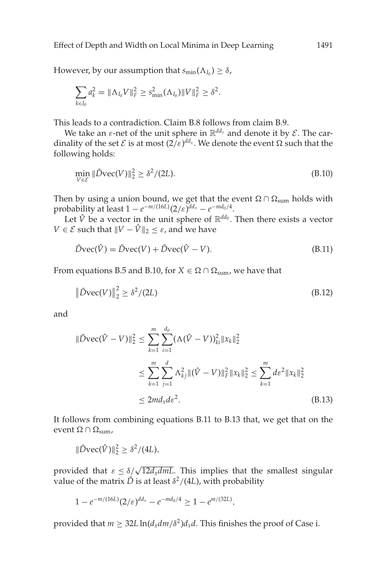However, by our assumption that  $s_{\min}(\Lambda_{I_0}) \geq \delta$ ,

$$
\sum_{k\in I_0} a_k^2 = \|\Lambda_{I_0} V\|_F^2 \ge s_{\min}^2(\Lambda_{I_0}) \|V\|_F^2 \ge \delta^2.
$$

This leads to a contradiction. Claim B.8 follows from claim B.9.

We take an  $\varepsilon$ -net of the unit sphere in  $\mathbb{R}^{dd_x}$  and denote it by  $\mathcal{E}$ . The cardinality of the set  $\mathcal E$  is at most  $(2/\varepsilon)^{dd_x}$ . We denote the event  $\Omega$  such that the following holds:

$$
\min_{V \in \mathcal{E}} \|\tilde{D}\text{vec}(V)\|_2^2 \ge \delta^2 / (2L). \tag{B.10}
$$

Then by using a union bound, we get that the event  $\Omega \cap \Omega_{\text{sum}}$  holds with probability at least  $1 - e^{-m/(16L)} (2/\varepsilon)^{dd_x} - e^{-md_0/4}$ .

Let  $\hat{V}$  be a vector in the unit sphere of  $\mathbb{R}^{dd_0}$ . Then there exists a vector *V*  $\in \mathcal{E}$  such that  $\|V - \hat{V}\|_2 \leq \varepsilon$ , and we have

$$
\tilde{D}\text{vec}(\hat{V}) = \tilde{D}\text{vec}(V) + \tilde{D}\text{vec}(\hat{V} - V). \tag{B.11}
$$

From equations [B.5](#page-27-0) and B.10, for  $X \in \Omega \cap \Omega_{\text{sum}}$ , we have that

$$
\|\tilde{D}\text{vec}(V)\|_2^2 \ge \delta^2/(2L) \tag{B.12}
$$

and

$$
\|\tilde{D}\text{vec}(\hat{V} - V)\|_{2}^{2} \leq \sum_{k=1}^{m} \sum_{i=1}^{d_{0}} (\Lambda(\hat{V} - V))_{ki}^{2} \|x_{k}\|_{2}^{2}
$$
  

$$
\leq \sum_{k=1}^{m} \sum_{j=1}^{d} \Lambda_{kj}^{2} \|(\hat{V} - V)\|_{F}^{2} \|x_{k}\|_{2}^{2} \leq \sum_{k=1}^{m} d\varepsilon^{2} \|x_{k}\|_{2}^{2}
$$
  

$$
\leq 2m d_{x} d\varepsilon^{2}.
$$
 (B.13)

It follows from combining equations B.11 to B.13 that, we get that on the event Ω ∩  $Ω_{\text{sum}}$ ,

$$
\|\tilde{D}\text{vec}(\hat{V})\|_2^2 \geq \delta^2/(4L),
$$

provided that  $\epsilon \leq \delta/\sqrt{12d_xdm}$ . This implies that the smallest singular value of the matrix  $\tilde{D}$  is at least  $\delta^2/(4L)$ , with probability

$$
1 - e^{-m/(16L)} (2/\varepsilon)^{dd_x} - e^{-md_0/4} \ge 1 - e^{m/(32L)},
$$

provided that  $m \geq 32L \ln(d_x dm/\delta^2) d_x d$ . This finishes the proof of Case i.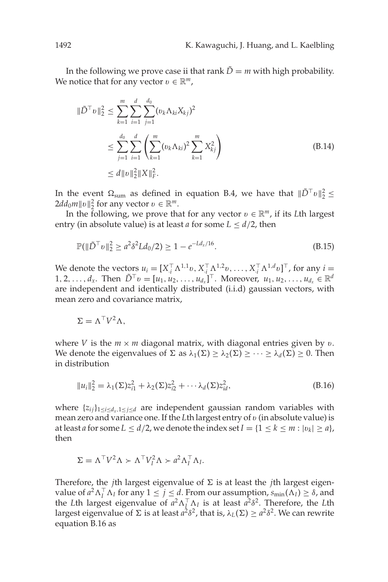<span id="page-30-0"></span>In the following we prove case ii that rank  $\tilde{D} = m$  with high probability. We notice that for any vector  $v \in \mathbb{R}^m$ ,

$$
\|\tilde{D}^{\top}v\|_{2}^{2} \leq \sum_{k=1}^{m} \sum_{i=1}^{d} \sum_{j=1}^{d_{0}} (\nu_{k} \Lambda_{ki} X_{kj})^{2}
$$
  
\n
$$
\leq \sum_{j=1}^{d_{0}} \sum_{i=1}^{d} \left( \sum_{k=1}^{m} (\nu_{k} \Lambda_{ki})^{2} \sum_{k=1}^{m} X_{kj}^{2} \right)
$$
  
\n
$$
\leq d \|v\|_{2}^{2} \|X\|_{F}^{2}.
$$
\n(B.14)

In the event  $\Omega_{\text{sum}}$  as defined in equation [B.4,](#page-26-0) we have that  $\|\tilde{D}^{\top} v\|_2^2 \leq$  $2dd_0m||v||_2^2$  for any vector  $v \in \mathbb{R}^m$ .

In the following, we prove that for any vector  $v \in \mathbb{R}^m$ , if its *L*th largest entry (in absolute value) is at least *a* for some  $L \leq d/2$ , then

$$
\mathbb{P}(\|\tilde{D}^{\top}v\|_2^2 \ge a^2 \delta^2 L d_0/2) \ge 1 - e^{-L d_x/16}.\tag{B.15}
$$

We denote the vectors  $u_i = [X_i^{\top} \Lambda^{1,1} v, X_i^{\top} \Lambda^{1,2} v, \ldots, X_i^{\top} \Lambda^{1,d} v]^{\top}$ , for any  $i =$  $1, 2, \ldots, d_x$ . Then  $\tilde{D}^\top v = [u_1, u_2, \ldots, u_{d_x}]^\top$ . Moreover,  $u_1, u_2, \ldots, u_{d_x} \in \mathbb{R}^d$ are independent and identically distributed (i.i.d) gaussian vectors, with mean zero and covariance matrix,

$$
\Sigma = \Lambda^{\top} V^2 \Lambda,
$$

where *V* is the  $m \times m$  diagonal matrix, with diagonal entries given by v. We denote the eigenvalues of  $\Sigma$  as  $\lambda_1(\Sigma) \geq \lambda_2(\Sigma) \geq \cdots \geq \lambda_d(\Sigma) \geq 0$ . Then in distribution

$$
||u_i||_2^2 = \lambda_1(\Sigma)z_{i1}^2 + \lambda_2(\Sigma)z_{i2}^2 + \cdots \lambda_d(\Sigma)z_{id}^2,
$$
\n(B.16)

where  $\{z_{ij}\}_{1\leq i\leq d_x, 1\leq j\leq d}$  are independent gaussian random variables with mean zero and variance one. If the *L*th largest entry of v (in absolute value) is at least *a* for some  $L \le d/2$ , we denote the index set  $I = \{1 \le k \le m : |v_k| \ge a\}$ , then

$$
\Sigma = \Lambda^{\top} V^2 \Lambda \succ \Lambda^{\top} V_I^2 \Lambda \succ a^2 \Lambda_I^{\top} \Lambda_I.
$$

Therefore, the *j*th largest eigenvalue of  $\Sigma$  is at least the *j*th largest eigenvalue of  $a^2 \Lambda_I^\top \Lambda_I$  for any  $1 \le j \le d$ . From our assumption,  $s_{\min}(\Lambda_I) \ge \delta$ , and the *L*th largest eigenvalue of  $a^2 \Lambda_1^T \Lambda_1$  is at least  $a^2 \delta^2$ . Therefore, the *L*th largest eigenvalue of  $\Sigma$  is at least  $a^2\delta^2$ , that is,  $\lambda_L(\Sigma) \ge a^2\delta^2$ . We can rewrite equation B.16 as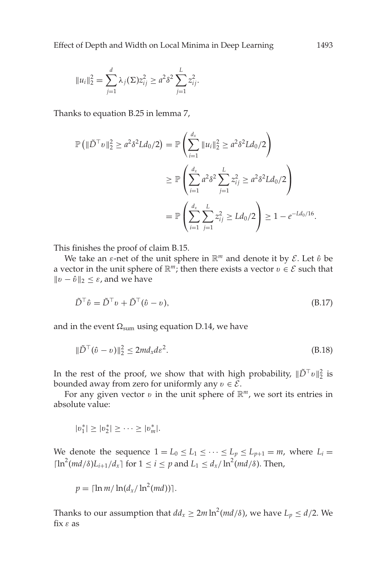<span id="page-31-0"></span>
$$
||u_i||_2^2 = \sum_{j=1}^d \lambda_j(\Sigma) z_{ij}^2 \geq a^2 \delta^2 \sum_{j=1}^L z_{ij}^2.
$$

Thanks to equation [B.25](#page-33-0) in lemma 7,

$$
\mathbb{P} \left( \|\tilde{D}^{\top} v\|_{2}^{2} \geq a^{2} \delta^{2} L d_{0} / 2 \right) = \mathbb{P} \left( \sum_{i=1}^{d_{x}} \|u_{i}\|_{2}^{2} \geq a^{2} \delta^{2} L d_{0} / 2 \right)
$$
  

$$
\geq \mathbb{P} \left( \sum_{i=1}^{d_{x}} a^{2} \delta^{2} \sum_{j=1}^{L} z_{ij}^{2} \geq a^{2} \delta^{2} L d_{0} / 2 \right)
$$
  

$$
= \mathbb{P} \left( \sum_{i=1}^{d_{x}} \sum_{j=1}^{L} z_{ij}^{2} \geq L d_{0} / 2 \right) \geq 1 - e^{-L d_{0} / 16}.
$$

This finishes the proof of claim B.15.

We take an  $\varepsilon$ -net of the unit sphere in  $\mathbb{R}^m$  and denote it by  $\mathcal{E}$ . Let  $\hat{v}$  be a vector in the unit sphere of  $\mathbb{R}^m$ ; then there exists a vector  $v \in \mathcal{E}$  such that  $||v − *v*||<sub>2</sub> ≤ *ε*, and we have$ 

$$
\tilde{D}^{\top}\hat{v} = \tilde{D}^{\top}v + \tilde{D}^{\top}(\hat{v} - v),\tag{B.17}
$$

and in the event  $\Omega_{\text{sum}}$  using equation D.14, we have

$$
\|\tilde{D}^{\top}(\hat{v} - v)\|_2^2 \le 2md_xd\varepsilon^2. \tag{B.18}
$$

In the rest of the proof, we show that with high probability,  $\|\tilde{D}^\top v\|_2^2$  is bounded away from zero for uniformly any  $v \in \mathcal{E}$ .

For any given vector  $v$  in the unit sphere of  $\mathbb{R}^m$ , we sort its entries in absolute value:

$$
|v_1^*| \ge |v_2^*| \ge \cdots \ge |v_m^*|.
$$

We denote the sequence  $1 = L_0 \le L_1 \le \cdots \le L_p \le L_{p+1} = m$ , where  $L_i =$  $\lceil \ln^2(md/\delta) L_{i+1}/d_x \rceil$  for  $1 \leq i \leq p$  and  $L_1 \leq d_x/\ln^2(md/\delta)$ . Then,

$$
p = \lceil \ln m / \ln(d_x / \ln^2(md)) \rceil.
$$

Thanks to our assumption that  $dd_x \geq 2m \ln^2(md/\delta)$ , we have  $L_p \leq d/2$ . We fix  $\varepsilon$  as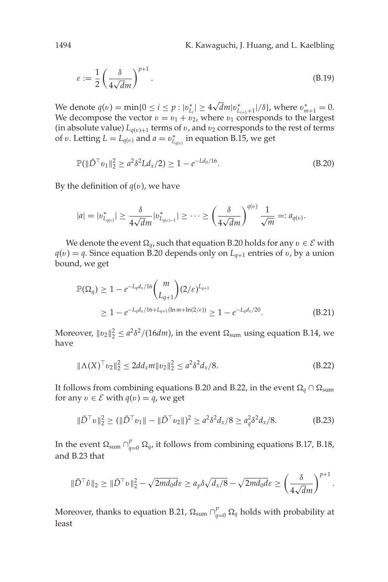1494 K. Kawaguchi, J. Huang, and L. Kaelbling

$$
\varepsilon := \frac{1}{2} \left( \frac{\delta}{4\sqrt{d}m} \right)^{p+1} . \tag{B.19}
$$

We denote  $q(v) = \min\{0 \le i \le p : |v_{L_i}^*| \ge 4\}$  $\sqrt{d}m|v^*_{L_{i+1}+1}|/\delta$ , where  $v^*_{m+1} = 0$ . We decompose the vector  $v = v_1 + v_2$ , where  $v_1$  corresponds to the largest (in absolute value)  $L_{q(v)+1}$  terms of v, and v<sub>2</sub> corresponds to the rest of terms of v. Letting  $L = L_{q(v)}$  and  $a = v^*_{L_{q(v)}}$  in equation [B.15,](#page-30-0) we get

$$
\mathbb{P}(\|\tilde{D}^{\top}v_1\|_2^2 \ge a^2 \delta^2 L d_x/2) \ge 1 - e^{-L d_0/16}.\tag{B.20}
$$

By the definition of  $q(v)$ , we have

$$
|a|=|v^*_{L_{q(v)}}|\geq \frac{\delta}{4\sqrt{d}m}|v^*_{L_{q(v)-1}}|\geq \cdots \geq \left(\frac{\delta}{4\sqrt{d}m}\right)^{q(v)}\frac{1}{\sqrt{m}}=:a_{q(v)}.
$$

We denote the event  $\Omega_q$ , such that equation B.20 holds for any  $v \in \mathcal{E}$  with  $q(v) = q$ . Since equation B.20 depends only on  $L_{q+1}$  entries of v, by a union bound, we get

$$
\mathbb{P}(\Omega_q) \ge 1 - e^{-L_q d_x / 16} \binom{m}{L_{q+1}} (2/\varepsilon)^{L_{q+1}}
$$
  
 
$$
\ge 1 - e^{-L_q d_x / 16 + L_{q+1} (\ln m + \ln(2/\varepsilon))} \ge 1 - e^{-L_q d_x / 20}.
$$
 (B.21)

Moreover,  $||v_2||_2^2 \le a^2 \delta^2/(16dm)$ , in the event  $\Omega_{\text{sum}}$  using equation [B.14,](#page-30-0) we have

$$
\|\Lambda(X)^{\top}v_2\|_2^2 \le 2dd_x m \|v_2\|_2^2 \le a^2 \delta^2 d_x / 8. \tag{B.22}
$$

It follows from combining equations B.20 and B.22, in the event  $\Omega_q \cap \Omega_{\text{sum}}$ for any  $v \in \mathcal{E}$  with  $q(v) = q$ , we get

$$
\|\tilde{D}^{\top}v\|_{2}^{2} \ge (\|\tilde{D}^{\top}v_{1}\| - \|\tilde{D}^{\top}v_{2}\|)^{2} \ge a^{2}\delta^{2}d_{x}/8 \ge a_{q}^{2}\delta^{2}d_{x}/8.
$$
 (B.23)

In the event  $\Omega_{\text{sum}} \cap_{q=0}^p \Omega_q$ , it follows from combining equations [B.17,](#page-31-0) B.18, and B.23 that

$$
\|\tilde{D}^\top \hat{v}\|_2 \ge \|\tilde{D}^\top v\|_2^2 - \sqrt{2md_0d\varepsilon} \ge a_p \delta \sqrt{d_x/8} - \sqrt{2md_0d\varepsilon} \ge \left(\frac{\delta}{4\sqrt{d}m}\right)^{p+1}.
$$

Moreover, thanks to equation B.21,  $\Omega_{\text{sum}} \cap_{q=0}^{p} \Omega_{q}$  holds with probability at least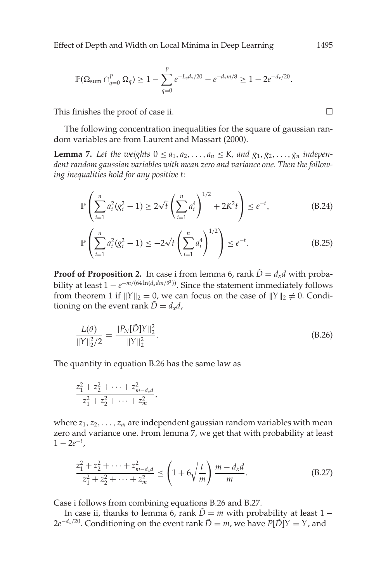<span id="page-33-0"></span>Effect of Depth and Width on Local Minima in Deep Learning 1495

$$
\mathbb{P}(\Omega_{\text{sum}} \cap_{q=0}^{p} \Omega_{q}) \geq 1 - \sum_{q=0}^{p} e^{-L_{q}d_{x}/20} - e^{-d_{x}m/8} \geq 1 - 2e^{-d_{x}/20}.
$$

This finishes the proof of case ii.  $\Box$ 

The following concentration inequalities for the square of gaussian random variables are from Laurent and Massart [\(2000\)](#page-35-0).

**Lemma 7.** Let the weights  $0 \le a_1, a_2, \ldots, a_n \le K$ , and  $g_1, g_2, \ldots, g_n$  indepen*dent random gaussian variables with mean zero and variance one. Then the following inequalities hold for any positive t:*

$$
\mathbb{P}\left(\sum_{i=1}^{n} a_i^2 (g_i^2 - 1) \ge 2\sqrt{t} \left(\sum_{i=1}^{n} a_i^4\right)^{1/2} + 2K^2 t\right) \le e^{-t},\tag{B.24}
$$

$$
\mathbb{P}\left(\sum_{i=1}^{n} a_i^2 (g_i^2 - 1) \le -2\sqrt{t} \left(\sum_{i=1}^{n} a_i^4\right)^{1/2}\right) \le e^{-t}.
$$
 (B.25)

**Proof of Proposition 2.** In case i from lemma [6,](#page-17-0) rank  $\tilde{D} = d_x d$  with probability at least  $1 - e^{-m/(64 \ln(d_x dm/\delta^2))}$ . Since the statement immediately follows from theorem 1 if  $||Y||_2 = 0$ , we can focus on the case of  $||Y||_2 \neq 0$ . Conditioning on the event rank  $\tilde{D} = d_x d$ ,

$$
\frac{L(\theta)}{\|Y\|_2^2/2} = \frac{\|P_N[\tilde{D}]Y\|_2^2}{\|Y\|_2^2}.
$$
\n(B.26)

The quantity in equation B.26 has the same law as

$$
\frac{z_1^2 + z_2^2 + \dots + z_{m-d_x d}^2}{z_1^2 + z_2^2 + \dots + z_m^2},
$$

where  $z_1, z_2, \ldots, z_m$  are independent gaussian random variables with mean zero and variance one. From lemma 7, we get that with probability at least  $1 - 2e^{-t}$ ,

$$
\frac{z_1^2 + z_2^2 + \dots + z_{m-d_x d}^2}{z_1^2 + z_2^2 + \dots + z_m^2} \le \left(1 + 6\sqrt{\frac{t}{m}}\right) \frac{m - d_x d}{m}.
$$
\n(B.27)

Case i follows from combining equations B.26 and B.27.

In case ii, thanks to lemma [6,](#page-17-0) rank  $\tilde{D} = m$  with probability at least 1 −  $2e^{-d_x/20}$ . Conditioning on the event rank  $\tilde{D} = m$ , we have  $P[\tilde{D}]Y = Y$ , and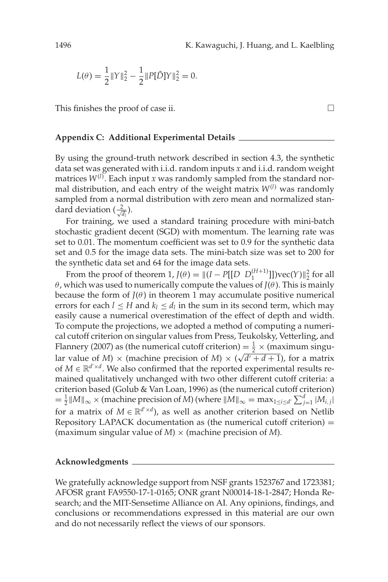$$
L(\theta) = \frac{1}{2} ||Y||_2^2 - \frac{1}{2} ||P[\tilde{D}]Y||_2^2 = 0.
$$

This finishes the proof of case ii.  $\Box$ 

#### **Appendix C: Additional Experimental Details**

By using the ground-truth network described in section [4.3,](#page-9-0) the synthetic data set was generated with i.i.d. random inputs *x* and i.i.d. random weight matrices *W*(*l*) . Each input *x* was randomly sampled from the standard normal distribution, and each entry of the weight matrix  $W^{(l)}$  was randomly sampled from a normal distribution with zero mean and normalized standard deviation  $(\frac{2}{\sqrt{d_l}})$ .

For training, we used a standard training procedure with mini-batch stochastic gradient decent (SGD) with momentum. The learning rate was set to 0.01. The momentum coefficient was set to 0.9 for the synthetic data set and 0.5 for the image data sets. The mini-batch size was set to 200 for the synthetic data set and 64 for the image data sets.

From the proof of theorem 1,  $J(\theta) = ||(I - P[[D \ D_1^{(H+1)}]])\text{vec}(Y)||_2^2$  for all θ, which was used to numerically compute the values of *J*(θ ). This is mainly because the form of  $J(\theta)$  in theorem 1 may accumulate positive numerical errors for each  $l \leq H$  and  $k_l \leq d_l$  in the sum in its second term, which may easily cause a numerical overestimation of the effect of depth and width. To compute the projections, we adopted a method of computing a numerical cutoff criterion on singular values from Press, Teukolsky, Vetterling, and Flannery (2007) as (the numerical cutoff criterion) =  $\frac{1}{2} \times$  (maximum singu-Francery (2007) as the numerical cutor criterion  $\frac{2}{3} \times \frac{\text{(maximum single-}]}{\text{(width)}}$ <br>lar value of *M*)  $\times$  (machine precision of *M*)  $\times (\sqrt{d'} + d + 1)$ , for a matrix of  $M \in \mathbb{R}^{d' \times d}$ . We also confirmed that the reported experimental results remained qualitatively unchanged with two other different cutoff criteria: a criterion based (Golub & Van Loan, [1996\)](#page-35-0) as (the numerical cutoff criterion)  $=\frac{1}{2}$   $\|M\|_{\infty}$   $\times$  (machine precision of *M*) (where  $\|M\|_{\infty} = \max_{1 \leq i \leq d'} \sum_{j=1}^{d} |M_{i,j}|$ for a matrix of  $M \in \mathbb{R}^{d' \times d}$ , as well as another criterion based on Netlib Repository LAPACK documentation as (the numerical cutoff criterion)  $=$ (maximum singular value of *M*) × (machine precision of *M*).

#### **Acknowledgments**

We gratefully acknowledge support from NSF grants 1523767 and 1723381; AFOSR grant FA9550-17-1-0165; ONR grant N00014-18-1-2847; Honda Research; and the MIT-Sensetime Alliance on AI. Any opinions, findings, and conclusions or recommendations expressed in this material are our own and do not necessarily reflect the views of our sponsors.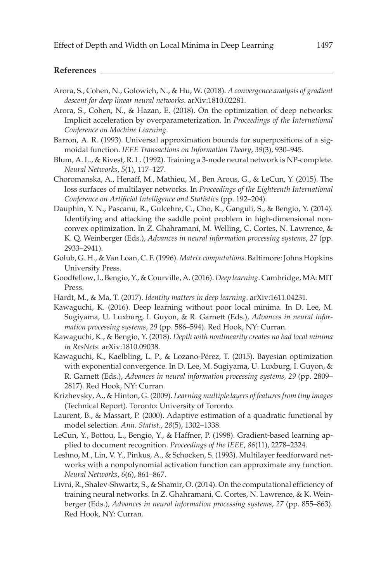<span id="page-35-0"></span>

- Arora, S., Cohen, N., Golowich, N., & Hu, W. (2018). *A convergence analysis of gradient descent for deep linear neural networks*. arXiv:1810.02281.
- Arora, S., Cohen, N., & Hazan, E. (2018). On the optimization of deep networks: Implicit acceleration by overparameterization. In *Proceedings of the International Conference on Machine Learning*.
- Barron, A. R. (1993). Universal approximation bounds for superpositions of a sigmoidal function. *[IEEE Transactions on Information Theory](https://www.mitpressjournals.org/action/showLinks?doi=10.1162%2Fneco_a_01195&crossref=10.1109%2F18.256500&citationId=p_3)*, *39*(3), 930–945.
- Blum, A. L., & Rivest, R. L. (1992). Training a 3-node neural network is NP-complete. *[Neural Networks](https://www.mitpressjournals.org/action/showLinks?doi=10.1162%2Fneco_a_01195&crossref=10.1016%2FS0893-6080%2805%2980010-3&citationId=p_4)*, *5*(1), 117–127.
- Choromanska, A., Henaff, M., Mathieu, M., Ben Arous, G., & LeCun, Y. (2015). The loss surfaces of multilayer networks. In *Proceedings of the Eighteenth International Conference on Artificial Intelligence and Statistics* (pp. 192–204).
- Dauphin, Y. N., Pascanu, R., Gulcehre, C., Cho, K., Ganguli, S., & Bengio, Y. (2014). Identifying and attacking the saddle point problem in high-dimensional nonconvex optimization. In Z. Ghahramani, M. Welling, C. Cortes, N. Lawrence, & K. Q. Weinberger (Eds.), *Advances in neural information processing systems*, *27* (pp. 2933–2941).
- Golub, G. H., & Van Loan, C. F. (1996). *Matrix computations*. Baltimore: Johns Hopkins University Press.
- Goodfellow, I., Bengio, Y., & Courville, A. (2016). *Deep learning*. Cambridge, MA: MIT Press.
- Hardt, M., & Ma, T. (2017). *Identity matters in deep learning*. arXiv:1611.04231.
- Kawaguchi, K. (2016). Deep learning without poor local minima. In D. Lee, M. Sugiyama, U. Luxburg, I. Guyon, & R. Garnett (Eds.), *Advances in neural information processing systems*, *29* (pp. 586–594). Red Hook, NY: Curran.
- Kawaguchi, K., & Bengio, Y. (2018). *Depth with nonlinearity creates no bad local minima in ResNets*. arXiv:1810.09038.
- Kawaguchi, K., Kaelbling, L. P., & Lozano-Pérez, T. (2015). Bayesian optimization with exponential convergence. In D. Lee, M. Sugiyama, U. Luxburg, I. Guyon, & R. Garnett (Eds.), *Advances in neural information processing systems, 29* (pp. 2809– 2817). Red Hook, NY: Curran.
- Krizhevsky, A., & Hinton, G. (2009). *Learning multiple layers of features from tiny images* (Technical Report). Toronto: University of Toronto.
- Laurent, B., & Massart, P. (2000). Adaptive estimation of a quadratic functional by model selection. *Ann. Statist.*, *28*(5), 1302–1338.
- LeCun, Y., Bottou, L., Bengio, Y., & Haffner, P. (1998). Gradient-based learning applied to document recognition. *[Proceedings of the IEEE](https://www.mitpressjournals.org/action/showLinks?doi=10.1162%2Fneco_a_01195&crossref=10.1109%2F5.726791&citationId=p_15)*, *86*(11), 2278–2324.
- Leshno, M., Lin, V. Y., Pinkus, A., & Schocken, S. (1993). Multilayer feedforward networks with a nonpolynomial activation function can approximate any function. *[Neural Networks](https://www.mitpressjournals.org/action/showLinks?doi=10.1162%2Fneco_a_01195&crossref=10.1016%2FS0893-6080%2805%2980131-5&citationId=p_16)*, *6*(6), 861–867.
- Livni, R., Shalev-Shwartz, S., & Shamir, O. (2014). On the computational efficiency of training neural networks. In Z. Ghahramani, C. Cortes, N. Lawrence, & K. Weinberger (Eds.), *Advances in neural information processing systems*, *27* (pp. 855–863). Red Hook, NY: Curran.